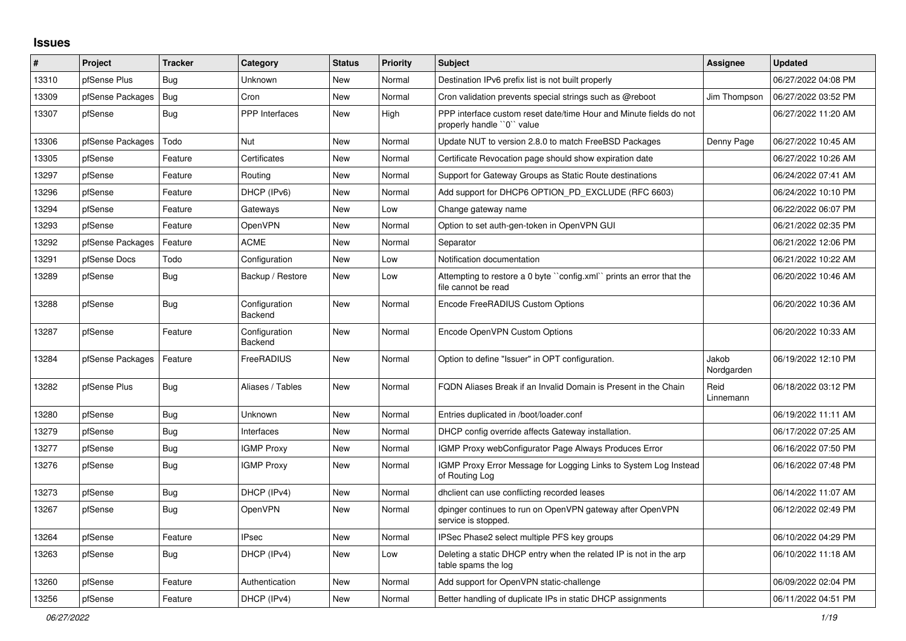## **Issues**

| #     | Project          | <b>Tracker</b> | Category                 | <b>Status</b> | <b>Priority</b> | <b>Subject</b>                                                                                  | Assignee            | <b>Updated</b>      |
|-------|------------------|----------------|--------------------------|---------------|-----------------|-------------------------------------------------------------------------------------------------|---------------------|---------------------|
| 13310 | pfSense Plus     | Bug            | Unknown                  | New           | Normal          | Destination IPv6 prefix list is not built properly                                              |                     | 06/27/2022 04:08 PM |
| 13309 | pfSense Packages | <b>Bug</b>     | Cron                     | New           | Normal          | Cron validation prevents special strings such as @reboot                                        | Jim Thompson        | 06/27/2022 03:52 PM |
| 13307 | pfSense          | <b>Bug</b>     | PPP Interfaces           | New           | High            | PPP interface custom reset date/time Hour and Minute fields do not<br>properly handle "0" value |                     | 06/27/2022 11:20 AM |
| 13306 | pfSense Packages | Todo           | <b>Nut</b>               | New           | Normal          | Update NUT to version 2.8.0 to match FreeBSD Packages                                           | Denny Page          | 06/27/2022 10:45 AM |
| 13305 | pfSense          | Feature        | Certificates             | New           | Normal          | Certificate Revocation page should show expiration date                                         |                     | 06/27/2022 10:26 AM |
| 13297 | pfSense          | Feature        | Routing                  | <b>New</b>    | Normal          | Support for Gateway Groups as Static Route destinations                                         |                     | 06/24/2022 07:41 AM |
| 13296 | pfSense          | Feature        | DHCP (IPv6)              | <b>New</b>    | Normal          | Add support for DHCP6 OPTION_PD_EXCLUDE (RFC 6603)                                              |                     | 06/24/2022 10:10 PM |
| 13294 | pfSense          | Feature        | Gateways                 | New           | Low             | Change gateway name                                                                             |                     | 06/22/2022 06:07 PM |
| 13293 | pfSense          | Feature        | <b>OpenVPN</b>           | New           | Normal          | Option to set auth-gen-token in OpenVPN GUI                                                     |                     | 06/21/2022 02:35 PM |
| 13292 | pfSense Packages | Feature        | <b>ACME</b>              | <b>New</b>    | Normal          | Separator                                                                                       |                     | 06/21/2022 12:06 PM |
| 13291 | pfSense Docs     | Todo           | Configuration            | New           | Low             | Notification documentation                                                                      |                     | 06/21/2022 10:22 AM |
| 13289 | pfSense          | Bug            | Backup / Restore         | New           | Low             | Attempting to restore a 0 byte ``config.xml`` prints an error that the<br>file cannot be read   |                     | 06/20/2022 10:46 AM |
| 13288 | pfSense          | <b>Bug</b>     | Configuration<br>Backend | <b>New</b>    | Normal          | Encode FreeRADIUS Custom Options                                                                |                     | 06/20/2022 10:36 AM |
| 13287 | pfSense          | Feature        | Configuration<br>Backend | New           | Normal          | Encode OpenVPN Custom Options                                                                   |                     | 06/20/2022 10:33 AM |
| 13284 | pfSense Packages | Feature        | FreeRADIUS               | New           | Normal          | Option to define "Issuer" in OPT configuration.                                                 | Jakob<br>Nordgarden | 06/19/2022 12:10 PM |
| 13282 | pfSense Plus     | <b>Bug</b>     | Aliases / Tables         | New           | Normal          | FQDN Aliases Break if an Invalid Domain is Present in the Chain                                 | Reid<br>Linnemann   | 06/18/2022 03:12 PM |
| 13280 | pfSense          | <b>Bug</b>     | Unknown                  | New           | Normal          | Entries duplicated in /boot/loader.conf                                                         |                     | 06/19/2022 11:11 AM |
| 13279 | pfSense          | Bug            | Interfaces               | New           | Normal          | DHCP config override affects Gateway installation.                                              |                     | 06/17/2022 07:25 AM |
| 13277 | pfSense          | <b>Bug</b>     | <b>IGMP Proxy</b>        | New           | Normal          | IGMP Proxy webConfigurator Page Always Produces Error                                           |                     | 06/16/2022 07:50 PM |
| 13276 | pfSense          | <b>Bug</b>     | <b>IGMP Proxy</b>        | <b>New</b>    | Normal          | IGMP Proxy Error Message for Logging Links to System Log Instead<br>of Routing Log              |                     | 06/16/2022 07:48 PM |
| 13273 | pfSense          | Bug            | DHCP (IPv4)              | <b>New</b>    | Normal          | dhclient can use conflicting recorded leases                                                    |                     | 06/14/2022 11:07 AM |
| 13267 | pfSense          | <b>Bug</b>     | OpenVPN                  | <b>New</b>    | Normal          | dpinger continues to run on OpenVPN gateway after OpenVPN<br>service is stopped.                |                     | 06/12/2022 02:49 PM |
| 13264 | pfSense          | Feature        | <b>IPsec</b>             | New           | Normal          | IPSec Phase2 select multiple PFS key groups                                                     |                     | 06/10/2022 04:29 PM |
| 13263 | pfSense          | <b>Bug</b>     | DHCP (IPv4)              | New           | Low             | Deleting a static DHCP entry when the related IP is not in the arp<br>table spams the log       |                     | 06/10/2022 11:18 AM |
| 13260 | pfSense          | Feature        | Authentication           | New           | Normal          | Add support for OpenVPN static-challenge                                                        |                     | 06/09/2022 02:04 PM |
| 13256 | pfSense          | Feature        | DHCP (IPv4)              | New           | Normal          | Better handling of duplicate IPs in static DHCP assignments                                     |                     | 06/11/2022 04:51 PM |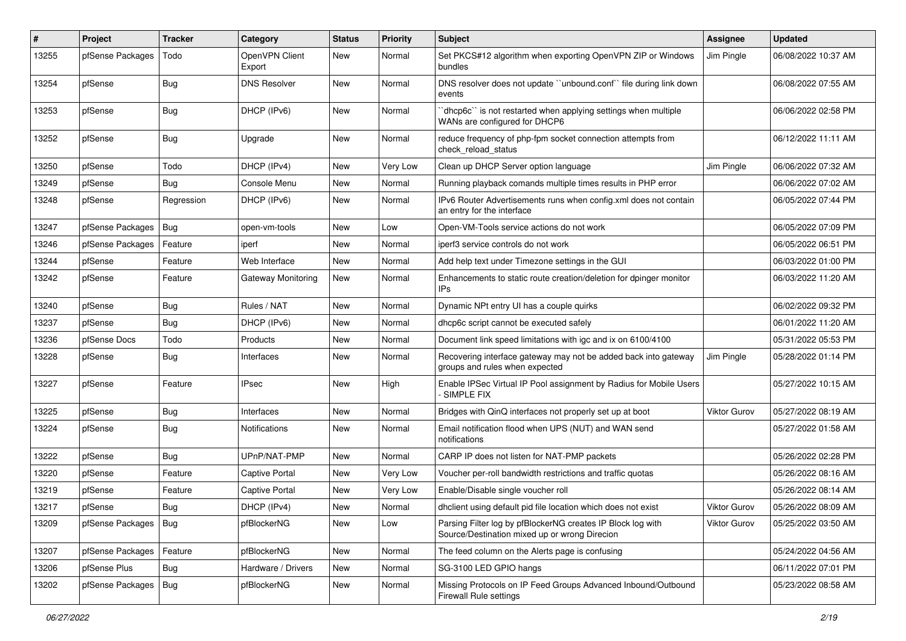| $\vert$ # | Project                | <b>Tracker</b> | Category                 | <b>Status</b> | <b>Priority</b> | Subject                                                                                                      | Assignee            | <b>Updated</b>      |
|-----------|------------------------|----------------|--------------------------|---------------|-----------------|--------------------------------------------------------------------------------------------------------------|---------------------|---------------------|
| 13255     | pfSense Packages       | Todo           | OpenVPN Client<br>Export | New           | Normal          | Set PKCS#12 algorithm when exporting OpenVPN ZIP or Windows<br>bundles                                       | Jim Pingle          | 06/08/2022 10:37 AM |
| 13254     | pfSense                | <b>Bug</b>     | <b>DNS Resolver</b>      | New           | Normal          | DNS resolver does not update "unbound.conf" file during link down<br>events                                  |                     | 06/08/2022 07:55 AM |
| 13253     | pfSense                | <b>Bug</b>     | DHCP (IPv6)              | New           | Normal          | 'dhcp6c'' is not restarted when applying settings when multiple<br>WANs are configured for DHCP6             |                     | 06/06/2022 02:58 PM |
| 13252     | pfSense                | <b>Bug</b>     | Upgrade                  | New           | Normal          | reduce frequency of php-fpm socket connection attempts from<br>check reload status                           |                     | 06/12/2022 11:11 AM |
| 13250     | pfSense                | Todo           | DHCP (IPv4)              | New           | Very Low        | Clean up DHCP Server option language                                                                         | Jim Pingle          | 06/06/2022 07:32 AM |
| 13249     | pfSense                | <b>Bug</b>     | Console Menu             | New           | Normal          | Running playback comands multiple times results in PHP error                                                 |                     | 06/06/2022 07:02 AM |
| 13248     | pfSense                | Regression     | DHCP (IPv6)              | New           | Normal          | IPv6 Router Advertisements runs when config.xml does not contain<br>an entry for the interface               |                     | 06/05/2022 07:44 PM |
| 13247     | pfSense Packages       | Bug            | open-vm-tools            | New           | Low             | Open-VM-Tools service actions do not work                                                                    |                     | 06/05/2022 07:09 PM |
| 13246     | pfSense Packages       | Feature        | iperf                    | New           | Normal          | iperf3 service controls do not work                                                                          |                     | 06/05/2022 06:51 PM |
| 13244     | pfSense                | Feature        | Web Interface            | New           | Normal          | Add help text under Timezone settings in the GUI                                                             |                     | 06/03/2022 01:00 PM |
| 13242     | pfSense                | Feature        | Gateway Monitoring       | New           | Normal          | Enhancements to static route creation/deletion for dpinger monitor<br>IPs                                    |                     | 06/03/2022 11:20 AM |
| 13240     | pfSense                | <b>Bug</b>     | Rules / NAT              | New           | Normal          | Dynamic NPt entry UI has a couple quirks                                                                     |                     | 06/02/2022 09:32 PM |
| 13237     | pfSense                | <b>Bug</b>     | DHCP (IPv6)              | New           | Normal          | dhcp6c script cannot be executed safely                                                                      |                     | 06/01/2022 11:20 AM |
| 13236     | pfSense Docs           | Todo           | Products                 | New           | Normal          | Document link speed limitations with igc and ix on 6100/4100                                                 |                     | 05/31/2022 05:53 PM |
| 13228     | pfSense                | <b>Bug</b>     | Interfaces               | New           | Normal          | Recovering interface gateway may not be added back into gateway<br>groups and rules when expected            | Jim Pingle          | 05/28/2022 01:14 PM |
| 13227     | pfSense                | Feature        | <b>IPsec</b>             | New           | High            | Enable IPSec Virtual IP Pool assignment by Radius for Mobile Users<br>SIMPLE FIX                             |                     | 05/27/2022 10:15 AM |
| 13225     | pfSense                | <b>Bug</b>     | Interfaces               | New           | Normal          | Bridges with QinQ interfaces not properly set up at boot                                                     | Viktor Gurov        | 05/27/2022 08:19 AM |
| 13224     | pfSense                | <b>Bug</b>     | <b>Notifications</b>     | New           | Normal          | Email notification flood when UPS (NUT) and WAN send<br>notifications                                        |                     | 05/27/2022 01:58 AM |
| 13222     | pfSense                | Bug            | UPnP/NAT-PMP             | New           | Normal          | CARP IP does not listen for NAT-PMP packets                                                                  |                     | 05/26/2022 02:28 PM |
| 13220     | pfSense                | Feature        | <b>Captive Portal</b>    | New           | Very Low        | Voucher per-roll bandwidth restrictions and traffic quotas                                                   |                     | 05/26/2022 08:16 AM |
| 13219     | pfSense                | Feature        | <b>Captive Portal</b>    | New           | Very Low        | Enable/Disable single voucher roll                                                                           |                     | 05/26/2022 08:14 AM |
| 13217     | pfSense                | Bug            | DHCP (IPv4)              | New           | Normal          | dholient using default pid file location which does not exist                                                | <b>Viktor Gurov</b> | 05/26/2022 08:09 AM |
| 13209     | pfSense Packages   Bug |                | pfBlockerNG              | New           | Low             | Parsing Filter log by pfBlockerNG creates IP Block log with<br>Source/Destination mixed up or wrong Direcion | Viktor Gurov        | 05/25/2022 03:50 AM |
| 13207     | pfSense Packages       | Feature        | pfBlockerNG              | New           | Normal          | The feed column on the Alerts page is confusing                                                              |                     | 05/24/2022 04:56 AM |
| 13206     | pfSense Plus           | <b>Bug</b>     | Hardware / Drivers       | New           | Normal          | SG-3100 LED GPIO hangs                                                                                       |                     | 06/11/2022 07:01 PM |
| 13202     | pfSense Packages       | Bug            | pfBlockerNG              | New           | Normal          | Missing Protocols on IP Feed Groups Advanced Inbound/Outbound<br>Firewall Rule settings                      |                     | 05/23/2022 08:58 AM |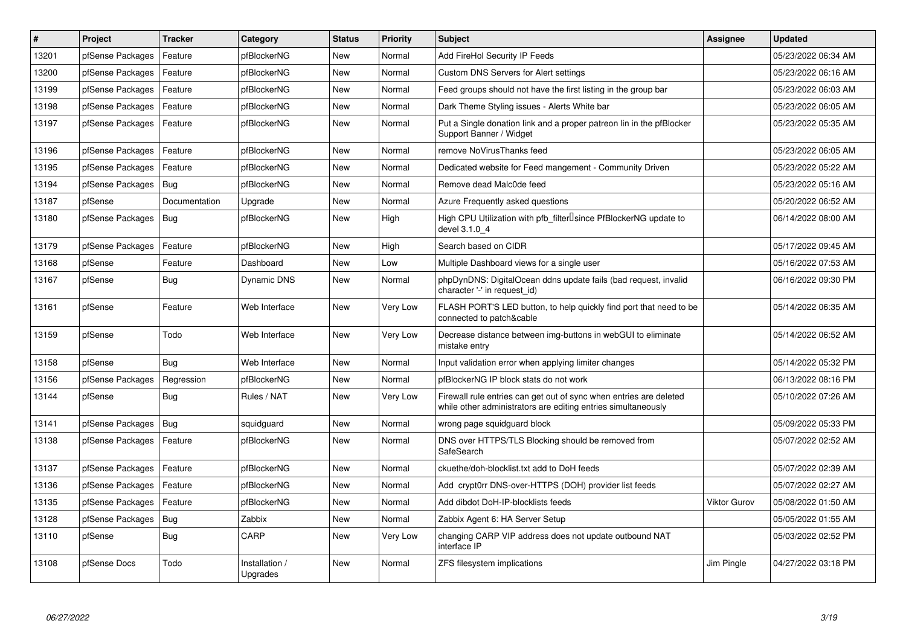| #     | Project          | <b>Tracker</b> | Category                   | <b>Status</b> | Priority | <b>Subject</b>                                                                                                                      | Assignee     | <b>Updated</b>      |
|-------|------------------|----------------|----------------------------|---------------|----------|-------------------------------------------------------------------------------------------------------------------------------------|--------------|---------------------|
| 13201 | pfSense Packages | Feature        | pfBlockerNG                | New           | Normal   | Add FireHol Security IP Feeds                                                                                                       |              | 05/23/2022 06:34 AM |
| 13200 | pfSense Packages | Feature        | pfBlockerNG                | New           | Normal   | Custom DNS Servers for Alert settings                                                                                               |              | 05/23/2022 06:16 AM |
| 13199 | pfSense Packages | Feature        | pfBlockerNG                | New           | Normal   | Feed groups should not have the first listing in the group bar                                                                      |              | 05/23/2022 06:03 AM |
| 13198 | pfSense Packages | Feature        | pfBlockerNG                | New           | Normal   | Dark Theme Styling issues - Alerts White bar                                                                                        |              | 05/23/2022 06:05 AM |
| 13197 | pfSense Packages | Feature        | pfBlockerNG                | New           | Normal   | Put a Single donation link and a proper patreon lin in the pfBlocker<br>Support Banner / Widget                                     |              | 05/23/2022 05:35 AM |
| 13196 | pfSense Packages | Feature        | pfBlockerNG                | New           | Normal   | remove NoVirusThanks feed                                                                                                           |              | 05/23/2022 06:05 AM |
| 13195 | pfSense Packages | Feature        | pfBlockerNG                | New           | Normal   | Dedicated website for Feed mangement - Community Driven                                                                             |              | 05/23/2022 05:22 AM |
| 13194 | pfSense Packages | Bug            | pfBlockerNG                | New           | Normal   | Remove dead Malc0de feed                                                                                                            |              | 05/23/2022 05:16 AM |
| 13187 | pfSense          | Documentation  | Upgrade                    | <b>New</b>    | Normal   | Azure Frequently asked questions                                                                                                    |              | 05/20/2022 06:52 AM |
| 13180 | pfSense Packages | Bug            | pfBlockerNG                | New           | High     | High CPU Utilization with pfb filterlsince PfBlockerNG update to<br>devel 3.1.0 4                                                   |              | 06/14/2022 08:00 AM |
| 13179 | pfSense Packages | Feature        | pfBlockerNG                | New           | High     | Search based on CIDR                                                                                                                |              | 05/17/2022 09:45 AM |
| 13168 | pfSense          | Feature        | Dashboard                  | New           | Low      | Multiple Dashboard views for a single user                                                                                          |              | 05/16/2022 07:53 AM |
| 13167 | pfSense          | <b>Bug</b>     | Dynamic DNS                | New           | Normal   | phpDynDNS: DigitalOcean ddns update fails (bad request, invalid<br>character '-' in request_id)                                     |              | 06/16/2022 09:30 PM |
| 13161 | pfSense          | Feature        | Web Interface              | New           | Very Low | FLASH PORT'S LED button, to help quickly find port that need to be<br>connected to patch&cable                                      |              | 05/14/2022 06:35 AM |
| 13159 | pfSense          | Todo           | Web Interface              | New           | Very Low | Decrease distance between img-buttons in webGUI to eliminate<br>mistake entry                                                       |              | 05/14/2022 06:52 AM |
| 13158 | pfSense          | <b>Bug</b>     | Web Interface              | New           | Normal   | Input validation error when applying limiter changes                                                                                |              | 05/14/2022 05:32 PM |
| 13156 | pfSense Packages | Regression     | pfBlockerNG                | New           | Normal   | pfBlockerNG IP block stats do not work                                                                                              |              | 06/13/2022 08:16 PM |
| 13144 | pfSense          | <b>Bug</b>     | Rules / NAT                | New           | Very Low | Firewall rule entries can get out of sync when entries are deleted<br>while other administrators are editing entries simultaneously |              | 05/10/2022 07:26 AM |
| 13141 | pfSense Packages | Bug            | squidguard                 | New           | Normal   | wrong page squidguard block                                                                                                         |              | 05/09/2022 05:33 PM |
| 13138 | pfSense Packages | Feature        | pfBlockerNG                | New           | Normal   | DNS over HTTPS/TLS Blocking should be removed from<br>SafeSearch                                                                    |              | 05/07/2022 02:52 AM |
| 13137 | pfSense Packages | Feature        | pfBlockerNG                | New           | Normal   | ckuethe/doh-blocklist.txt add to DoH feeds                                                                                          |              | 05/07/2022 02:39 AM |
| 13136 | pfSense Packages | Feature        | pfBlockerNG                | New           | Normal   | Add crypt0rr DNS-over-HTTPS (DOH) provider list feeds                                                                               |              | 05/07/2022 02:27 AM |
| 13135 | pfSense Packages | Feature        | pfBlockerNG                | New           | Normal   | Add dibdot DoH-IP-blocklists feeds                                                                                                  | Viktor Gurov | 05/08/2022 01:50 AM |
| 13128 | pfSense Packages | Bug            | Zabbix                     | New           | Normal   | Zabbix Agent 6: HA Server Setup                                                                                                     |              | 05/05/2022 01:55 AM |
| 13110 | pfSense          | <b>Bug</b>     | CARP                       | New           | Very Low | changing CARP VIP address does not update outbound NAT<br>interface IP                                                              |              | 05/03/2022 02:52 PM |
| 13108 | pfSense Docs     | Todo           | Installation /<br>Upgrades | New           | Normal   | ZFS filesystem implications                                                                                                         | Jim Pingle   | 04/27/2022 03:18 PM |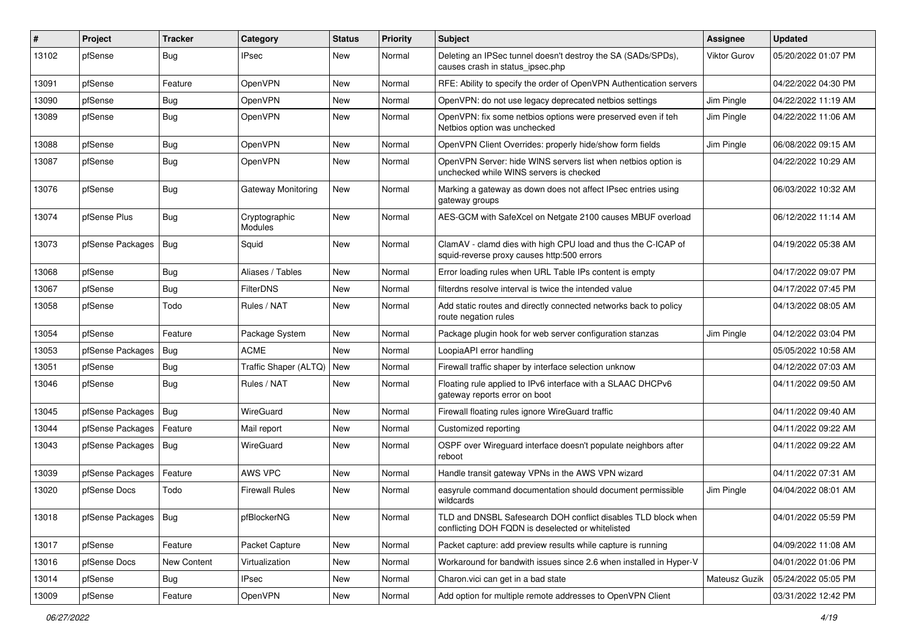| #     | Project                | <b>Tracker</b> | Category                  | <b>Status</b> | <b>Priority</b> | Subject                                                                                                            | <b>Assignee</b> | <b>Updated</b>      |
|-------|------------------------|----------------|---------------------------|---------------|-----------------|--------------------------------------------------------------------------------------------------------------------|-----------------|---------------------|
| 13102 | pfSense                | <b>Bug</b>     | IPsec                     | New           | Normal          | Deleting an IPSec tunnel doesn't destroy the SA (SADs/SPDs),<br>causes crash in status_ipsec.php                   | Viktor Gurov    | 05/20/2022 01:07 PM |
| 13091 | pfSense                | Feature        | OpenVPN                   | New           | Normal          | RFE: Ability to specify the order of OpenVPN Authentication servers                                                |                 | 04/22/2022 04:30 PM |
| 13090 | pfSense                | Bug            | OpenVPN                   | New           | Normal          | OpenVPN: do not use legacy deprecated netbios settings                                                             | Jim Pingle      | 04/22/2022 11:19 AM |
| 13089 | pfSense                | <b>Bug</b>     | OpenVPN                   | New           | Normal          | OpenVPN: fix some netbios options were preserved even if teh<br>Netbios option was unchecked                       | Jim Pingle      | 04/22/2022 11:06 AM |
| 13088 | pfSense                | <b>Bug</b>     | OpenVPN                   | New           | Normal          | OpenVPN Client Overrides: properly hide/show form fields                                                           | Jim Pingle      | 06/08/2022 09:15 AM |
| 13087 | pfSense                | <b>Bug</b>     | OpenVPN                   | New           | Normal          | OpenVPN Server: hide WINS servers list when netbios option is<br>unchecked while WINS servers is checked           |                 | 04/22/2022 10:29 AM |
| 13076 | pfSense                | Bug            | <b>Gateway Monitoring</b> | New           | Normal          | Marking a gateway as down does not affect IPsec entries using<br>gateway groups                                    |                 | 06/03/2022 10:32 AM |
| 13074 | pfSense Plus           | Bug            | Cryptographic<br>Modules  | New           | Normal          | AES-GCM with SafeXcel on Netgate 2100 causes MBUF overload                                                         |                 | 06/12/2022 11:14 AM |
| 13073 | pfSense Packages       | Bug            | Squid                     | New           | Normal          | ClamAV - clamd dies with high CPU load and thus the C-ICAP of<br>squid-reverse proxy causes http:500 errors        |                 | 04/19/2022 05:38 AM |
| 13068 | pfSense                | <b>Bug</b>     | Aliases / Tables          | New           | Normal          | Error loading rules when URL Table IPs content is empty                                                            |                 | 04/17/2022 09:07 PM |
| 13067 | pfSense                | Bug            | <b>FilterDNS</b>          | New           | Normal          | filterdns resolve interval is twice the intended value                                                             |                 | 04/17/2022 07:45 PM |
| 13058 | pfSense                | Todo           | Rules / NAT               | New           | Normal          | Add static routes and directly connected networks back to policy<br>route negation rules                           |                 | 04/13/2022 08:05 AM |
| 13054 | pfSense                | Feature        | Package System            | New           | Normal          | Package plugin hook for web server configuration stanzas                                                           | Jim Pingle      | 04/12/2022 03:04 PM |
| 13053 | pfSense Packages       | Bug            | <b>ACME</b>               | <b>New</b>    | Normal          | LoopiaAPI error handling                                                                                           |                 | 05/05/2022 10:58 AM |
| 13051 | pfSense                | <b>Bug</b>     | Traffic Shaper (ALTQ)     | New           | Normal          | Firewall traffic shaper by interface selection unknow                                                              |                 | 04/12/2022 07:03 AM |
| 13046 | pfSense                | <b>Bug</b>     | Rules / NAT               | New           | Normal          | Floating rule applied to IPv6 interface with a SLAAC DHCPv6<br>gateway reports error on boot                       |                 | 04/11/2022 09:50 AM |
| 13045 | pfSense Packages       | Bug            | WireGuard                 | New           | Normal          | Firewall floating rules ignore WireGuard traffic                                                                   |                 | 04/11/2022 09:40 AM |
| 13044 | pfSense Packages       | Feature        | Mail report               | New           | Normal          | Customized reporting                                                                                               |                 | 04/11/2022 09:22 AM |
| 13043 | pfSense Packages       | Bug            | WireGuard                 | New           | Normal          | OSPF over Wireguard interface doesn't populate neighbors after<br>reboot                                           |                 | 04/11/2022 09:22 AM |
| 13039 | pfSense Packages       | Feature        | AWS VPC                   | New           | Normal          | Handle transit gateway VPNs in the AWS VPN wizard                                                                  |                 | 04/11/2022 07:31 AM |
| 13020 | pfSense Docs           | Todo           | <b>Firewall Rules</b>     | New           | Normal          | easyrule command documentation should document permissible<br>wildcards                                            | Jim Pingle      | 04/04/2022 08:01 AM |
| 13018 | pfSense Packages   Bug |                | pfBlockerNG               | New           | Normal          | TLD and DNSBL Safesearch DOH conflict disables TLD block when<br>conflicting DOH FQDN is deselected or whitelisted |                 | 04/01/2022 05:59 PM |
| 13017 | pfSense                | Feature        | Packet Capture            | New           | Normal          | Packet capture: add preview results while capture is running                                                       |                 | 04/09/2022 11:08 AM |
| 13016 | pfSense Docs           | New Content    | Virtualization            | New           | Normal          | Workaround for bandwith issues since 2.6 when installed in Hyper-V                                                 |                 | 04/01/2022 01:06 PM |
| 13014 | pfSense                | Bug            | <b>IPsec</b>              | New           | Normal          | Charon.vici can get in a bad state                                                                                 | Mateusz Guzik   | 05/24/2022 05:05 PM |
| 13009 | pfSense                | Feature        | OpenVPN                   | New           | Normal          | Add option for multiple remote addresses to OpenVPN Client                                                         |                 | 03/31/2022 12:42 PM |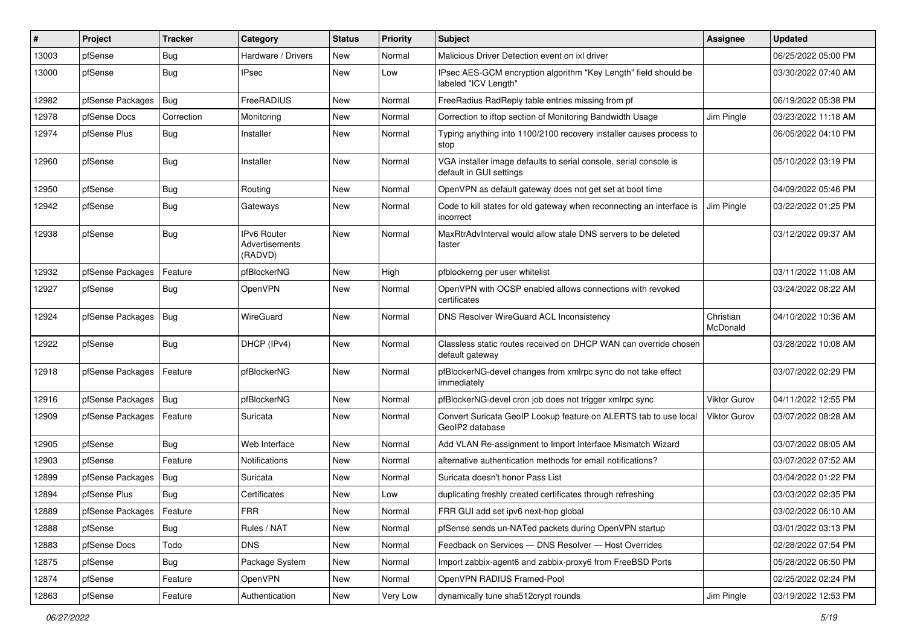| ∦     | Project                    | <b>Tracker</b> | Category                                 | <b>Status</b> | Priority | <b>Subject</b>                                                                               | Assignee              | <b>Updated</b>      |
|-------|----------------------------|----------------|------------------------------------------|---------------|----------|----------------------------------------------------------------------------------------------|-----------------------|---------------------|
| 13003 | pfSense                    | <b>Bug</b>     | Hardware / Drivers                       | New           | Normal   | Malicious Driver Detection event on ixl driver                                               |                       | 06/25/2022 05:00 PM |
| 13000 | pfSense                    | <b>Bug</b>     | IPsec                                    | New           | Low      | IPsec AES-GCM encryption algorithm "Key Length" field should be<br>labeled "ICV Length"      |                       | 03/30/2022 07:40 AM |
| 12982 | pfSense Packages   Bug     |                | FreeRADIUS                               | New           | Normal   | FreeRadius RadReply table entries missing from pf                                            |                       | 06/19/2022 05:38 PM |
| 12978 | pfSense Docs               | Correction     | Monitoring                               | New           | Normal   | Correction to iftop section of Monitoring Bandwidth Usage                                    | Jim Pingle            | 03/23/2022 11:18 AM |
| 12974 | pfSense Plus               | Bug            | Installer                                | New           | Normal   | Typing anything into 1100/2100 recovery installer causes process to<br>stop                  |                       | 06/05/2022 04:10 PM |
| 12960 | pfSense                    | <b>Bug</b>     | Installer                                | New           | Normal   | VGA installer image defaults to serial console, serial console is<br>default in GUI settings |                       | 05/10/2022 03:19 PM |
| 12950 | pfSense                    | <b>Bug</b>     | Routing                                  | New           | Normal   | OpenVPN as default gateway does not get set at boot time                                     |                       | 04/09/2022 05:46 PM |
| 12942 | pfSense                    | <b>Bug</b>     | Gateways                                 | New           | Normal   | Code to kill states for old gateway when reconnecting an interface is<br>incorrect           | Jim Pingle            | 03/22/2022 01:25 PM |
| 12938 | pfSense                    | <b>Bug</b>     | IPv6 Router<br>Advertisements<br>(RADVD) | New           | Normal   | MaxRtrAdvInterval would allow stale DNS servers to be deleted<br>faster                      |                       | 03/12/2022 09:37 AM |
| 12932 | pfSense Packages           | Feature        | pfBlockerNG                              | New           | High     | pfblockerng per user whitelist                                                               |                       | 03/11/2022 11:08 AM |
| 12927 | pfSense                    | <b>Bug</b>     | <b>OpenVPN</b>                           | New           | Normal   | OpenVPN with OCSP enabled allows connections with revoked<br>certificates                    |                       | 03/24/2022 08:22 AM |
| 12924 | pfSense Packages           | Bug            | WireGuard                                | New           | Normal   | DNS Resolver WireGuard ACL Inconsistency                                                     | Christian<br>McDonald | 04/10/2022 10:36 AM |
| 12922 | pfSense                    | Bug            | DHCP (IPv4)                              | New           | Normal   | Classless static routes received on DHCP WAN can override chosen<br>default gateway          |                       | 03/28/2022 10:08 AM |
| 12918 | pfSense Packages           | Feature        | pfBlockerNG                              | New           | Normal   | pfBlockerNG-devel changes from xmlrpc sync do not take effect<br>immediately                 |                       | 03/07/2022 02:29 PM |
| 12916 | pfSense Packages           | Bug            | pfBlockerNG                              | New           | Normal   | pfBlockerNG-devel cron job does not trigger xmlrpc sync                                      | <b>Viktor Gurov</b>   | 04/11/2022 12:55 PM |
| 12909 | pfSense Packages           | Feature        | Suricata                                 | New           | Normal   | Convert Suricata GeoIP Lookup feature on ALERTS tab to use local<br>GeoIP2 database          | Viktor Gurov          | 03/07/2022 08:28 AM |
| 12905 | pfSense                    | <b>Bug</b>     | Web Interface                            | New           | Normal   | Add VLAN Re-assignment to Import Interface Mismatch Wizard                                   |                       | 03/07/2022 08:05 AM |
| 12903 | pfSense                    | Feature        | <b>Notifications</b>                     | New           | Normal   | alternative authentication methods for email notifications?                                  |                       | 03/07/2022 07:52 AM |
| 12899 | pfSense Packages           | <b>Bug</b>     | Suricata                                 | New           | Normal   | Suricata doesn't honor Pass List                                                             |                       | 03/04/2022 01:22 PM |
| 12894 | pfSense Plus               | <b>Bug</b>     | Certificates                             | New           | Low      | duplicating freshly created certificates through refreshing                                  |                       | 03/03/2022 02:35 PM |
| 12889 | pfSense Packages   Feature |                | <b>FRR</b>                               | New           | Normal   | FRR GUI add set ipv6 next-hop global                                                         |                       | 03/02/2022 06:10 AM |
| 12888 | pfSense                    | Bug            | Rules / NAT                              | New           | Normal   | pfSense sends un-NATed packets during OpenVPN startup                                        |                       | 03/01/2022 03:13 PM |
| 12883 | pfSense Docs               | Todo           | <b>DNS</b>                               | New           | Normal   | Feedback on Services - DNS Resolver - Host Overrides                                         |                       | 02/28/2022 07:54 PM |
| 12875 | pfSense                    | <b>Bug</b>     | Package System                           | New           | Normal   | Import zabbix-agent6 and zabbix-proxy6 from FreeBSD Ports                                    |                       | 05/28/2022 06:50 PM |
| 12874 | pfSense                    | Feature        | OpenVPN                                  | New           | Normal   | OpenVPN RADIUS Framed-Pool                                                                   |                       | 02/25/2022 02:24 PM |
| 12863 | pfSense                    | Feature        | Authentication                           | New           | Very Low | dynamically tune sha512crypt rounds                                                          | Jim Pingle            | 03/19/2022 12:53 PM |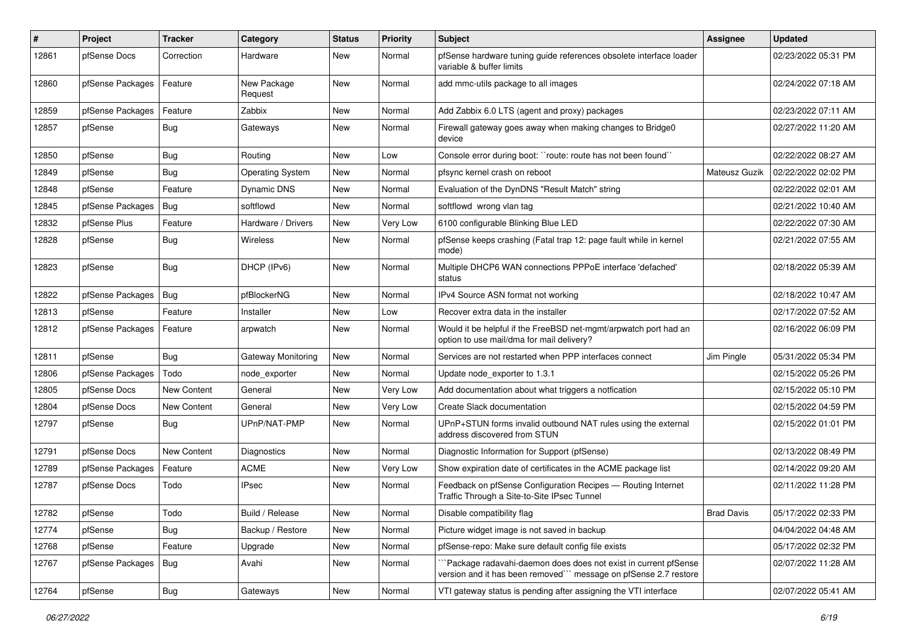| ∦     | Project          | <b>Tracker</b>     | Category                  | <b>Status</b> | <b>Priority</b> | <b>Subject</b>                                                                                                                      | Assignee          | <b>Updated</b>      |
|-------|------------------|--------------------|---------------------------|---------------|-----------------|-------------------------------------------------------------------------------------------------------------------------------------|-------------------|---------------------|
| 12861 | pfSense Docs     | Correction         | Hardware                  | New           | Normal          | pfSense hardware tuning guide references obsolete interface loader<br>variable & buffer limits                                      |                   | 02/23/2022 05:31 PM |
| 12860 | pfSense Packages | Feature            | New Package<br>Request    | New           | Normal          | add mmc-utils package to all images                                                                                                 |                   | 02/24/2022 07:18 AM |
| 12859 | pfSense Packages | Feature            | Zabbix                    | New           | Normal          | Add Zabbix 6.0 LTS (agent and proxy) packages                                                                                       |                   | 02/23/2022 07:11 AM |
| 12857 | pfSense          | <b>Bug</b>         | Gateways                  | New           | Normal          | Firewall gateway goes away when making changes to Bridge0<br>device                                                                 |                   | 02/27/2022 11:20 AM |
| 12850 | pfSense          | Bug                | Routing                   | New           | Low             | Console error during boot: "route: route has not been found"                                                                        |                   | 02/22/2022 08:27 AM |
| 12849 | pfSense          | <b>Bug</b>         | <b>Operating System</b>   | New           | Normal          | pfsync kernel crash on reboot                                                                                                       | Mateusz Guzik     | 02/22/2022 02:02 PM |
| 12848 | pfSense          | Feature            | Dynamic DNS               | New           | Normal          | Evaluation of the DynDNS "Result Match" string                                                                                      |                   | 02/22/2022 02:01 AM |
| 12845 | pfSense Packages | <b>Bug</b>         | softflowd                 | New           | Normal          | softflowd wrong vlan tag                                                                                                            |                   | 02/21/2022 10:40 AM |
| 12832 | pfSense Plus     | Feature            | Hardware / Drivers        | New           | Very Low        | 6100 configurable Blinking Blue LED                                                                                                 |                   | 02/22/2022 07:30 AM |
| 12828 | pfSense          | <b>Bug</b>         | <b>Wireless</b>           | New           | Normal          | pfSense keeps crashing (Fatal trap 12: page fault while in kernel<br>mode)                                                          |                   | 02/21/2022 07:55 AM |
| 12823 | pfSense          | <b>Bug</b>         | DHCP (IPv6)               | New           | Normal          | Multiple DHCP6 WAN connections PPPoE interface 'defached'<br>status                                                                 |                   | 02/18/2022 05:39 AM |
| 12822 | pfSense Packages | Bug                | pfBlockerNG               | New           | Normal          | IPv4 Source ASN format not working                                                                                                  |                   | 02/18/2022 10:47 AM |
| 12813 | pfSense          | Feature            | Installer                 | New           | Low             | Recover extra data in the installer                                                                                                 |                   | 02/17/2022 07:52 AM |
| 12812 | pfSense Packages | Feature            | arpwatch                  | New           | Normal          | Would it be helpful if the FreeBSD net-mgmt/arpwatch port had an<br>option to use mail/dma for mail delivery?                       |                   | 02/16/2022 06:09 PM |
| 12811 | pfSense          | <b>Bug</b>         | <b>Gateway Monitoring</b> | New           | Normal          | Services are not restarted when PPP interfaces connect                                                                              | Jim Pingle        | 05/31/2022 05:34 PM |
| 12806 | pfSense Packages | Todo               | node exporter             | New           | Normal          | Update node exporter to 1.3.1                                                                                                       |                   | 02/15/2022 05:26 PM |
| 12805 | pfSense Docs     | <b>New Content</b> | General                   | New           | Very Low        | Add documentation about what triggers a notfication                                                                                 |                   | 02/15/2022 05:10 PM |
| 12804 | pfSense Docs     | <b>New Content</b> | General                   | New           | Very Low        | Create Slack documentation                                                                                                          |                   | 02/15/2022 04:59 PM |
| 12797 | pfSense          | <b>Bug</b>         | UPnP/NAT-PMP              | New           | Normal          | UPnP+STUN forms invalid outbound NAT rules using the external<br>address discovered from STUN                                       |                   | 02/15/2022 01:01 PM |
| 12791 | pfSense Docs     | New Content        | Diagnostics               | New           | Normal          | Diagnostic Information for Support (pfSense)                                                                                        |                   | 02/13/2022 08:49 PM |
| 12789 | pfSense Packages | Feature            | <b>ACME</b>               | New           | Very Low        | Show expiration date of certificates in the ACME package list                                                                       |                   | 02/14/2022 09:20 AM |
| 12787 | pfSense Docs     | Todo               | IPsec                     | New           | Normal          | Feedback on pfSense Configuration Recipes - Routing Internet<br>Traffic Through a Site-to-Site IPsec Tunnel                         |                   | 02/11/2022 11:28 PM |
| 12782 | pfSense          | Todo               | Build / Release           | New           | Normal          | Disable compatibility flag                                                                                                          | <b>Brad Davis</b> | 05/17/2022 02:33 PM |
| 12774 | pfSense          | <b>Bug</b>         | Backup / Restore          | New           | Normal          | Picture widget image is not saved in backup                                                                                         |                   | 04/04/2022 04:48 AM |
| 12768 | pfSense          | Feature            | Upgrade                   | New           | Normal          | pfSense-repo: Make sure default config file exists                                                                                  |                   | 05/17/2022 02:32 PM |
| 12767 | pfSense Packages | Bug                | Avahi                     | New           | Normal          | `Package radavahi-daemon does does not exist in current pfSense<br>version and it has been removed"" message on pfSense 2.7 restore |                   | 02/07/2022 11:28 AM |
| 12764 | pfSense          | <b>Bug</b>         | Gateways                  | New           | Normal          | VTI gateway status is pending after assigning the VTI interface                                                                     |                   | 02/07/2022 05:41 AM |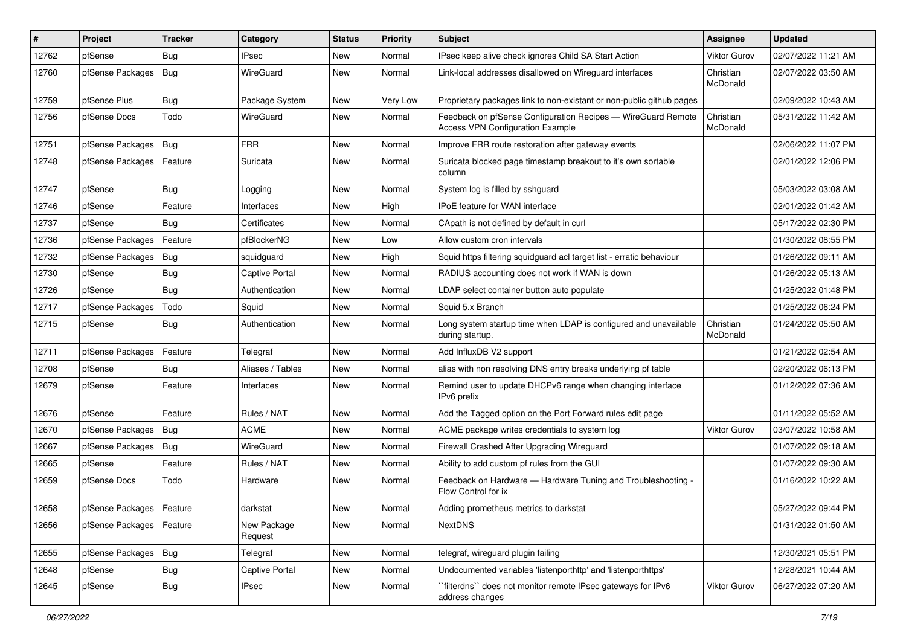| #     | Project                    | <b>Tracker</b> | Category               | <b>Status</b> | <b>Priority</b> | <b>Subject</b>                                                                                          | <b>Assignee</b>       | <b>Updated</b>      |
|-------|----------------------------|----------------|------------------------|---------------|-----------------|---------------------------------------------------------------------------------------------------------|-----------------------|---------------------|
| 12762 | pfSense                    | Bug            | <b>IPsec</b>           | New           | Normal          | IPsec keep alive check ignores Child SA Start Action                                                    | Viktor Gurov          | 02/07/2022 11:21 AM |
| 12760 | pfSense Packages           | Bug            | WireGuard              | New           | Normal          | Link-local addresses disallowed on Wireguard interfaces                                                 | Christian<br>McDonald | 02/07/2022 03:50 AM |
| 12759 | pfSense Plus               | <b>Bug</b>     | Package System         | New           | Very Low        | Proprietary packages link to non-existant or non-public github pages                                    |                       | 02/09/2022 10:43 AM |
| 12756 | pfSense Docs               | Todo           | WireGuard              | New           | Normal          | Feedback on pfSense Configuration Recipes - WireGuard Remote<br><b>Access VPN Configuration Example</b> | Christian<br>McDonald | 05/31/2022 11:42 AM |
| 12751 | pfSense Packages   Bug     |                | <b>FRR</b>             | New           | Normal          | Improve FRR route restoration after gateway events                                                      |                       | 02/06/2022 11:07 PM |
| 12748 | pfSense Packages           | Feature        | Suricata               | New           | Normal          | Suricata blocked page timestamp breakout to it's own sortable<br>column                                 |                       | 02/01/2022 12:06 PM |
| 12747 | pfSense                    | <b>Bug</b>     | Logging                | New           | Normal          | System log is filled by sshguard                                                                        |                       | 05/03/2022 03:08 AM |
| 12746 | pfSense                    | Feature        | Interfaces             | New           | High            | IPoE feature for WAN interface                                                                          |                       | 02/01/2022 01:42 AM |
| 12737 | pfSense                    | <b>Bug</b>     | Certificates           | New           | Normal          | CApath is not defined by default in curl                                                                |                       | 05/17/2022 02:30 PM |
| 12736 | pfSense Packages           | Feature        | pfBlockerNG            | New           | Low             | Allow custom cron intervals                                                                             |                       | 01/30/2022 08:55 PM |
| 12732 | pfSense Packages           | Bug            | squidguard             | New           | High            | Squid https filtering squidguard acl target list - erratic behaviour                                    |                       | 01/26/2022 09:11 AM |
| 12730 | pfSense                    | <b>Bug</b>     | Captive Portal         | New           | Normal          | RADIUS accounting does not work if WAN is down                                                          |                       | 01/26/2022 05:13 AM |
| 12726 | pfSense                    | Bug            | Authentication         | New           | Normal          | LDAP select container button auto populate                                                              |                       | 01/25/2022 01:48 PM |
| 12717 | pfSense Packages           | Todo           | Squid                  | New           | Normal          | Squid 5.x Branch                                                                                        |                       | 01/25/2022 06:24 PM |
| 12715 | pfSense                    | <b>Bug</b>     | Authentication         | New           | Normal          | Long system startup time when LDAP is configured and unavailable<br>during startup.                     | Christian<br>McDonald | 01/24/2022 05:50 AM |
| 12711 | pfSense Packages           | Feature        | Telegraf               | New           | Normal          | Add InfluxDB V2 support                                                                                 |                       | 01/21/2022 02:54 AM |
| 12708 | pfSense                    | Bug            | Aliases / Tables       | New           | Normal          | alias with non resolving DNS entry breaks underlying pf table                                           |                       | 02/20/2022 06:13 PM |
| 12679 | pfSense                    | Feature        | Interfaces             | New           | Normal          | Remind user to update DHCPv6 range when changing interface<br>IPv6 prefix                               |                       | 01/12/2022 07:36 AM |
| 12676 | pfSense                    | Feature        | Rules / NAT            | New           | Normal          | Add the Tagged option on the Port Forward rules edit page                                               |                       | 01/11/2022 05:52 AM |
| 12670 | pfSense Packages           | Bug            | <b>ACME</b>            | <b>New</b>    | Normal          | ACME package writes credentials to system log                                                           | Viktor Gurov          | 03/07/2022 10:58 AM |
| 12667 | pfSense Packages           | Bug            | WireGuard              | New           | Normal          | Firewall Crashed After Upgrading Wireguard                                                              |                       | 01/07/2022 09:18 AM |
| 12665 | pfSense                    | Feature        | Rules / NAT            | New           | Normal          | Ability to add custom pf rules from the GUI                                                             |                       | 01/07/2022 09:30 AM |
| 12659 | pfSense Docs               | Todo           | Hardware               | New           | Normal          | Feedback on Hardware - Hardware Tuning and Troubleshooting -<br>Flow Control for ix                     |                       | 01/16/2022 10:22 AM |
| 12658 | pfSense Packages   Feature |                | darkstat               | New           | Normal          | Adding prometheus metrics to darkstat                                                                   |                       | 05/27/2022 09:44 PM |
| 12656 | pfSense Packages           | Feature        | New Package<br>Request | New           | Normal          | <b>NextDNS</b>                                                                                          |                       | 01/31/2022 01:50 AM |
| 12655 | pfSense Packages   Bug     |                | Telegraf               | New           | Normal          | telegraf, wireguard plugin failing                                                                      |                       | 12/30/2021 05:51 PM |
| 12648 | pfSense                    | <b>Bug</b>     | Captive Portal         | New           | Normal          | Undocumented variables 'listenporthttp' and 'listenporthttps'                                           |                       | 12/28/2021 10:44 AM |
| 12645 | pfSense                    | <b>Bug</b>     | <b>IPsec</b>           | New           | Normal          | filterdns" does not monitor remote IPsec gateways for IPv6<br>address changes                           | Viktor Gurov          | 06/27/2022 07:20 AM |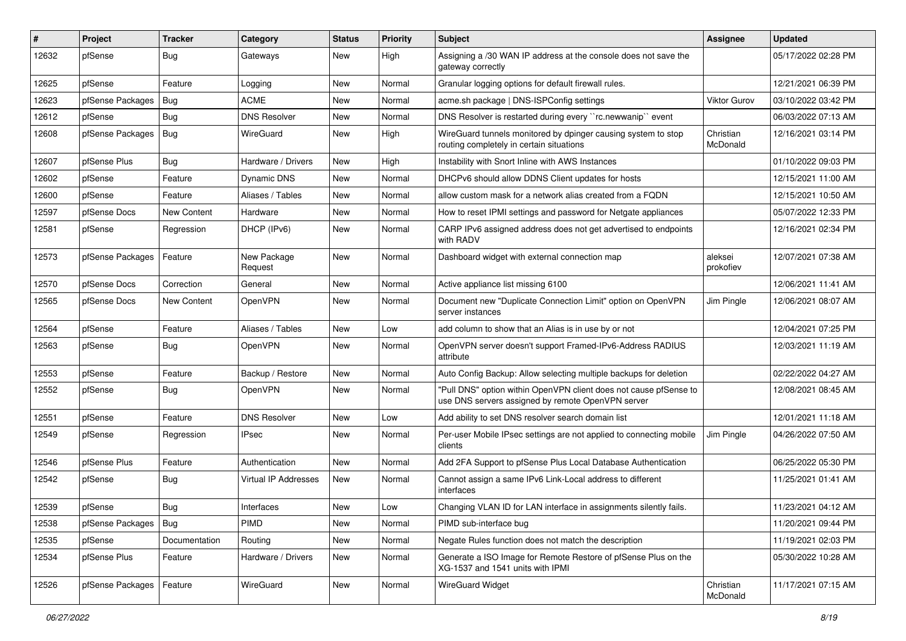| #     | Project          | <b>Tracker</b>     | Category               | <b>Status</b> | <b>Priority</b> | <b>Subject</b>                                                                                                         | Assignee              | <b>Updated</b>      |
|-------|------------------|--------------------|------------------------|---------------|-----------------|------------------------------------------------------------------------------------------------------------------------|-----------------------|---------------------|
| 12632 | pfSense          | <b>Bug</b>         | Gateways               | New           | High            | Assigning a /30 WAN IP address at the console does not save the<br>gateway correctly                                   |                       | 05/17/2022 02:28 PM |
| 12625 | pfSense          | Feature            | Logging                | New           | Normal          | Granular logging options for default firewall rules.                                                                   |                       | 12/21/2021 06:39 PM |
| 12623 | pfSense Packages | Bug                | <b>ACME</b>            | New           | Normal          | acme.sh package   DNS-ISPConfig settings                                                                               | <b>Viktor Gurov</b>   | 03/10/2022 03:42 PM |
| 12612 | pfSense          | <b>Bug</b>         | <b>DNS Resolver</b>    | New           | Normal          | DNS Resolver is restarted during every "rc.newwanip" event                                                             |                       | 06/03/2022 07:13 AM |
| 12608 | pfSense Packages | Bug                | WireGuard              | New           | High            | WireGuard tunnels monitored by dpinger causing system to stop<br>routing completely in certain situations              | Christian<br>McDonald | 12/16/2021 03:14 PM |
| 12607 | pfSense Plus     | Bug                | Hardware / Drivers     | New           | High            | Instability with Snort Inline with AWS Instances                                                                       |                       | 01/10/2022 09:03 PM |
| 12602 | pfSense          | Feature            | Dynamic DNS            | New           | Normal          | DHCPv6 should allow DDNS Client updates for hosts                                                                      |                       | 12/15/2021 11:00 AM |
| 12600 | pfSense          | Feature            | Aliases / Tables       | New           | Normal          | allow custom mask for a network alias created from a FQDN                                                              |                       | 12/15/2021 10:50 AM |
| 12597 | pfSense Docs     | <b>New Content</b> | Hardware               | New           | Normal          | How to reset IPMI settings and password for Netgate appliances                                                         |                       | 05/07/2022 12:33 PM |
| 12581 | pfSense          | Regression         | DHCP (IPv6)            | New           | Normal          | CARP IPv6 assigned address does not get advertised to endpoints<br>with RADV                                           |                       | 12/16/2021 02:34 PM |
| 12573 | pfSense Packages | Feature            | New Package<br>Request | New           | Normal          | Dashboard widget with external connection map                                                                          | aleksei<br>prokofiev  | 12/07/2021 07:38 AM |
| 12570 | pfSense Docs     | Correction         | General                | New           | Normal          | Active appliance list missing 6100                                                                                     |                       | 12/06/2021 11:41 AM |
| 12565 | pfSense Docs     | <b>New Content</b> | <b>OpenVPN</b>         | New           | Normal          | Document new "Duplicate Connection Limit" option on OpenVPN<br>server instances                                        | Jim Pingle            | 12/06/2021 08:07 AM |
| 12564 | pfSense          | Feature            | Aliases / Tables       | New           | Low             | add column to show that an Alias is in use by or not                                                                   |                       | 12/04/2021 07:25 PM |
| 12563 | pfSense          | <b>Bug</b>         | OpenVPN                | New           | Normal          | OpenVPN server doesn't support Framed-IPv6-Address RADIUS<br>attribute                                                 |                       | 12/03/2021 11:19 AM |
| 12553 | pfSense          | Feature            | Backup / Restore       | New           | Normal          | Auto Config Backup: Allow selecting multiple backups for deletion                                                      |                       | 02/22/2022 04:27 AM |
| 12552 | pfSense          | <b>Bug</b>         | OpenVPN                | New           | Normal          | "Pull DNS" option within OpenVPN client does not cause pfSense to<br>use DNS servers assigned by remote OpenVPN server |                       | 12/08/2021 08:45 AM |
| 12551 | pfSense          | Feature            | <b>DNS Resolver</b>    | New           | Low             | Add ability to set DNS resolver search domain list                                                                     |                       | 12/01/2021 11:18 AM |
| 12549 | pfSense          | Regression         | <b>IPsec</b>           | New           | Normal          | Per-user Mobile IPsec settings are not applied to connecting mobile<br>clients                                         | Jim Pingle            | 04/26/2022 07:50 AM |
| 12546 | pfSense Plus     | Feature            | Authentication         | New           | Normal          | Add 2FA Support to pfSense Plus Local Database Authentication                                                          |                       | 06/25/2022 05:30 PM |
| 12542 | pfSense          | <b>Bug</b>         | Virtual IP Addresses   | New           | Normal          | Cannot assign a same IPv6 Link-Local address to different<br>interfaces                                                |                       | 11/25/2021 01:41 AM |
| 12539 | pfSense          | <b>Bug</b>         | Interfaces             | New           | Low             | Changing VLAN ID for LAN interface in assignments silently fails.                                                      |                       | 11/23/2021 04:12 AM |
| 12538 | pfSense Packages | Bug                | PIMD                   | New           | Normal          | PIMD sub-interface bug                                                                                                 |                       | 11/20/2021 09:44 PM |
| 12535 | pfSense          | Documentation      | Routing                | New           | Normal          | Negate Rules function does not match the description                                                                   |                       | 11/19/2021 02:03 PM |
| 12534 | pfSense Plus     | Feature            | Hardware / Drivers     | New           | Normal          | Generate a ISO Image for Remote Restore of pfSense Plus on the<br>XG-1537 and 1541 units with IPMI                     |                       | 05/30/2022 10:28 AM |
| 12526 | pfSense Packages | Feature            | WireGuard              | New           | Normal          | WireGuard Widget                                                                                                       | Christian<br>McDonald | 11/17/2021 07:15 AM |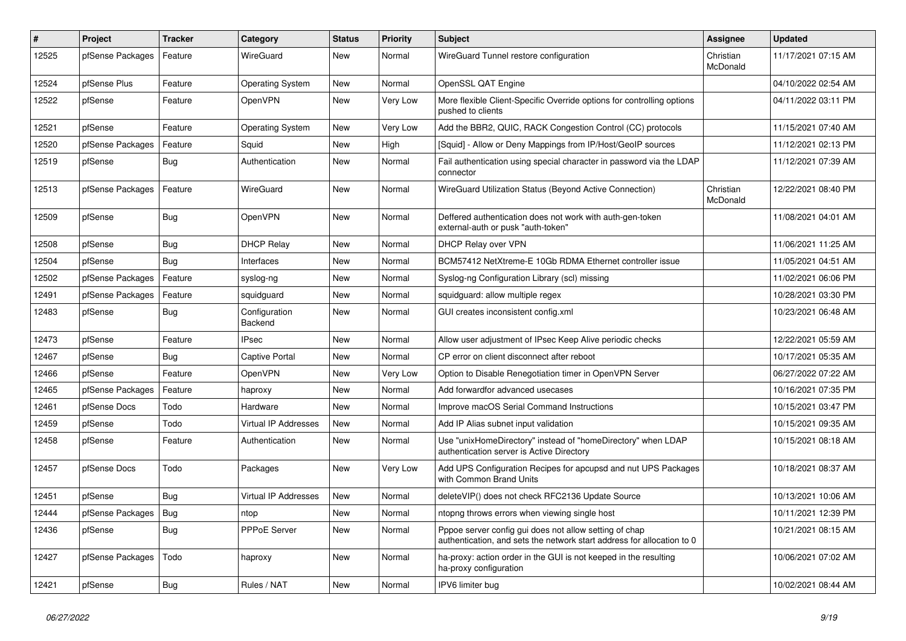| #     | Project          | <b>Tracker</b> | Category                    | <b>Status</b> | <b>Priority</b> | <b>Subject</b>                                                                                                                   | <b>Assignee</b>       | <b>Updated</b>      |
|-------|------------------|----------------|-----------------------------|---------------|-----------------|----------------------------------------------------------------------------------------------------------------------------------|-----------------------|---------------------|
| 12525 | pfSense Packages | Feature        | WireGuard                   | New           | Normal          | WireGuard Tunnel restore configuration                                                                                           | Christian<br>McDonald | 11/17/2021 07:15 AM |
| 12524 | pfSense Plus     | Feature        | <b>Operating System</b>     | New           | Normal          | OpenSSL QAT Engine                                                                                                               |                       | 04/10/2022 02:54 AM |
| 12522 | pfSense          | Feature        | OpenVPN                     | New           | Very Low        | More flexible Client-Specific Override options for controlling options<br>pushed to clients                                      |                       | 04/11/2022 03:11 PM |
| 12521 | pfSense          | Feature        | <b>Operating System</b>     | New           | Very Low        | Add the BBR2, QUIC, RACK Congestion Control (CC) protocols                                                                       |                       | 11/15/2021 07:40 AM |
| 12520 | pfSense Packages | Feature        | Squid                       | New           | High            | [Squid] - Allow or Deny Mappings from IP/Host/GeoIP sources                                                                      |                       | 11/12/2021 02:13 PM |
| 12519 | pfSense          | Bug            | Authentication              | <b>New</b>    | Normal          | Fail authentication using special character in password via the LDAP<br>connector                                                |                       | 11/12/2021 07:39 AM |
| 12513 | pfSense Packages | Feature        | WireGuard                   | New           | Normal          | WireGuard Utilization Status (Beyond Active Connection)                                                                          | Christian<br>McDonald | 12/22/2021 08:40 PM |
| 12509 | pfSense          | <b>Bug</b>     | OpenVPN                     | New           | Normal          | Deffered authentication does not work with auth-gen-token<br>external-auth or pusk "auth-token"                                  |                       | 11/08/2021 04:01 AM |
| 12508 | pfSense          | Bug            | <b>DHCP Relay</b>           | New           | Normal          | DHCP Relay over VPN                                                                                                              |                       | 11/06/2021 11:25 AM |
| 12504 | pfSense          | <b>Bug</b>     | Interfaces                  | <b>New</b>    | Normal          | BCM57412 NetXtreme-E 10Gb RDMA Ethernet controller issue                                                                         |                       | 11/05/2021 04:51 AM |
| 12502 | pfSense Packages | Feature        | syslog-ng                   | <b>New</b>    | Normal          | Syslog-ng Configuration Library (scl) missing                                                                                    |                       | 11/02/2021 06:06 PM |
| 12491 | pfSense Packages | Feature        | squidguard                  | New           | Normal          | squidguard: allow multiple regex                                                                                                 |                       | 10/28/2021 03:30 PM |
| 12483 | pfSense          | <b>Bug</b>     | Configuration<br>Backend    | <b>New</b>    | Normal          | GUI creates inconsistent config.xml                                                                                              |                       | 10/23/2021 06:48 AM |
| 12473 | pfSense          | Feature        | IPsec                       | New           | Normal          | Allow user adjustment of IPsec Keep Alive periodic checks                                                                        |                       | 12/22/2021 05:59 AM |
| 12467 | pfSense          | Bug            | Captive Portal              | New           | Normal          | CP error on client disconnect after reboot                                                                                       |                       | 10/17/2021 05:35 AM |
| 12466 | pfSense          | Feature        | OpenVPN                     | New           | Very Low        | Option to Disable Renegotiation timer in OpenVPN Server                                                                          |                       | 06/27/2022 07:22 AM |
| 12465 | pfSense Packages | Feature        | haproxy                     | New           | Normal          | Add forwardfor advanced usecases                                                                                                 |                       | 10/16/2021 07:35 PM |
| 12461 | pfSense Docs     | Todo           | Hardware                    | New           | Normal          | Improve macOS Serial Command Instructions                                                                                        |                       | 10/15/2021 03:47 PM |
| 12459 | pfSense          | Todo           | <b>Virtual IP Addresses</b> | New           | Normal          | Add IP Alias subnet input validation                                                                                             |                       | 10/15/2021 09:35 AM |
| 12458 | pfSense          | Feature        | Authentication              | New           | Normal          | Use "unixHomeDirectory" instead of "homeDirectory" when LDAP<br>authentication server is Active Directory                        |                       | 10/15/2021 08:18 AM |
| 12457 | pfSense Docs     | Todo           | Packages                    | New           | Very Low        | Add UPS Configuration Recipes for apcupsd and nut UPS Packages<br>with Common Brand Units                                        |                       | 10/18/2021 08:37 AM |
| 12451 | pfSense          | <b>Bug</b>     | <b>Virtual IP Addresses</b> | New           | Normal          | deleteVIP() does not check RFC2136 Update Source                                                                                 |                       | 10/13/2021 10:06 AM |
| 12444 | pfSense Packages | <b>Bug</b>     | ntop                        | New           | Normal          | ntopng throws errors when viewing single host                                                                                    |                       | 10/11/2021 12:39 PM |
| 12436 | pfSense          | <b>Bug</b>     | <b>PPPoE Server</b>         | New           | Normal          | Pppoe server config gui does not allow setting of chap<br>authentication, and sets the network start address for allocation to 0 |                       | 10/21/2021 08:15 AM |
| 12427 | pfSense Packages | Todo           | haproxy                     | <b>New</b>    | Normal          | ha-proxy: action order in the GUI is not keeped in the resulting<br>ha-proxy configuration                                       |                       | 10/06/2021 07:02 AM |
| 12421 | pfSense          | Bug            | Rules / NAT                 | New           | Normal          | IPV6 limiter bug                                                                                                                 |                       | 10/02/2021 08:44 AM |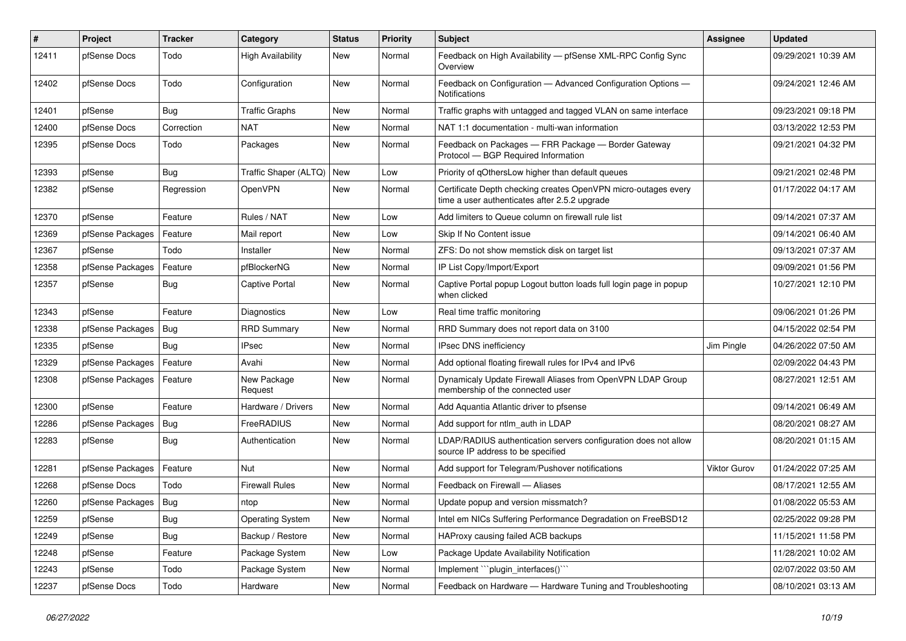| #     | <b>Project</b>         | <b>Tracker</b> | Category                 | <b>Status</b> | <b>Priority</b> | <b>Subject</b>                                                                                                  | Assignee            | <b>Updated</b>      |
|-------|------------------------|----------------|--------------------------|---------------|-----------------|-----------------------------------------------------------------------------------------------------------------|---------------------|---------------------|
| 12411 | pfSense Docs           | Todo           | <b>High Availability</b> | New           | Normal          | Feedback on High Availability - pfSense XML-RPC Config Sync<br>Overview                                         |                     | 09/29/2021 10:39 AM |
| 12402 | pfSense Docs           | Todo           | Configuration            | New           | Normal          | Feedback on Configuration - Advanced Configuration Options -<br><b>Notifications</b>                            |                     | 09/24/2021 12:46 AM |
| 12401 | pfSense                | Bug            | <b>Traffic Graphs</b>    | New           | Normal          | Traffic graphs with untagged and tagged VLAN on same interface                                                  |                     | 09/23/2021 09:18 PM |
| 12400 | pfSense Docs           | Correction     | <b>NAT</b>               | New           | Normal          | NAT 1:1 documentation - multi-wan information                                                                   |                     | 03/13/2022 12:53 PM |
| 12395 | pfSense Docs           | Todo           | Packages                 | New           | Normal          | Feedback on Packages - FRR Package - Border Gateway<br>Protocol - BGP Required Information                      |                     | 09/21/2021 04:32 PM |
| 12393 | pfSense                | Bug            | Traffic Shaper (ALTQ)    | New           | Low             | Priority of gOthersLow higher than default queues                                                               |                     | 09/21/2021 02:48 PM |
| 12382 | pfSense                | Regression     | OpenVPN                  | New           | Normal          | Certificate Depth checking creates OpenVPN micro-outages every<br>time a user authenticates after 2.5.2 upgrade |                     | 01/17/2022 04:17 AM |
| 12370 | pfSense                | Feature        | Rules / NAT              | New           | Low             | Add limiters to Queue column on firewall rule list                                                              |                     | 09/14/2021 07:37 AM |
| 12369 | pfSense Packages       | Feature        | Mail report              | New           | Low             | Skip If No Content issue                                                                                        |                     | 09/14/2021 06:40 AM |
| 12367 | pfSense                | Todo           | Installer                | New           | Normal          | ZFS: Do not show memstick disk on target list                                                                   |                     | 09/13/2021 07:37 AM |
| 12358 | pfSense Packages       | Feature        | pfBlockerNG              | New           | Normal          | IP List Copy/Import/Export                                                                                      |                     | 09/09/2021 01:56 PM |
| 12357 | pfSense                | Bug            | <b>Captive Portal</b>    | New           | Normal          | Captive Portal popup Logout button loads full login page in popup<br>when clicked                               |                     | 10/27/2021 12:10 PM |
| 12343 | pfSense                | Feature        | Diagnostics              | <b>New</b>    | Low             | Real time traffic monitoring                                                                                    |                     | 09/06/2021 01:26 PM |
| 12338 | pfSense Packages       | <b>Bug</b>     | <b>RRD Summary</b>       | New           | Normal          | RRD Summary does not report data on 3100                                                                        |                     | 04/15/2022 02:54 PM |
| 12335 | pfSense                | Bug            | <b>IPsec</b>             | New           | Normal          | IPsec DNS inefficiency                                                                                          | Jim Pingle          | 04/26/2022 07:50 AM |
| 12329 | pfSense Packages       | Feature        | Avahi                    | New           | Normal          | Add optional floating firewall rules for IPv4 and IPv6                                                          |                     | 02/09/2022 04:43 PM |
| 12308 | pfSense Packages       | Feature        | New Package<br>Request   | New           | Normal          | Dynamicaly Update Firewall Aliases from OpenVPN LDAP Group<br>membership of the connected user                  |                     | 08/27/2021 12:51 AM |
| 12300 | pfSense                | Feature        | Hardware / Drivers       | New           | Normal          | Add Aquantia Atlantic driver to pfsense                                                                         |                     | 09/14/2021 06:49 AM |
| 12286 | pfSense Packages       | <b>Bug</b>     | FreeRADIUS               | New           | Normal          | Add support for ntlm_auth in LDAP                                                                               |                     | 08/20/2021 08:27 AM |
| 12283 | pfSense                | Bug            | Authentication           | New           | Normal          | LDAP/RADIUS authentication servers configuration does not allow<br>source IP address to be specified            |                     | 08/20/2021 01:15 AM |
| 12281 | pfSense Packages       | Feature        | Nut                      | New           | Normal          | Add support for Telegram/Pushover notifications                                                                 | <b>Viktor Gurov</b> | 01/24/2022 07:25 AM |
| 12268 | pfSense Docs           | Todo           | <b>Firewall Rules</b>    | New           | Normal          | Feedback on Firewall - Aliases                                                                                  |                     | 08/17/2021 12:55 AM |
| 12260 | pfSense Packages   Bug |                | ntop                     | New           | Normal          | Update popup and version missmatch?                                                                             |                     | 01/08/2022 05:53 AM |
| 12259 | pfSense                | <b>Bug</b>     | <b>Operating System</b>  | New           | Normal          | Intel em NICs Suffering Performance Degradation on FreeBSD12                                                    |                     | 02/25/2022 09:28 PM |
| 12249 | pfSense                | Bug            | Backup / Restore         | New           | Normal          | HAProxy causing failed ACB backups                                                                              |                     | 11/15/2021 11:58 PM |
| 12248 | pfSense                | Feature        | Package System           | New           | Low             | Package Update Availability Notification                                                                        |                     | 11/28/2021 10:02 AM |
| 12243 | pfSense                | Todo           | Package System           | New           | Normal          | Implement "plugin_interfaces()"                                                                                 |                     | 02/07/2022 03:50 AM |
| 12237 | pfSense Docs           | Todo           | Hardware                 | New           | Normal          | Feedback on Hardware - Hardware Tuning and Troubleshooting                                                      |                     | 08/10/2021 03:13 AM |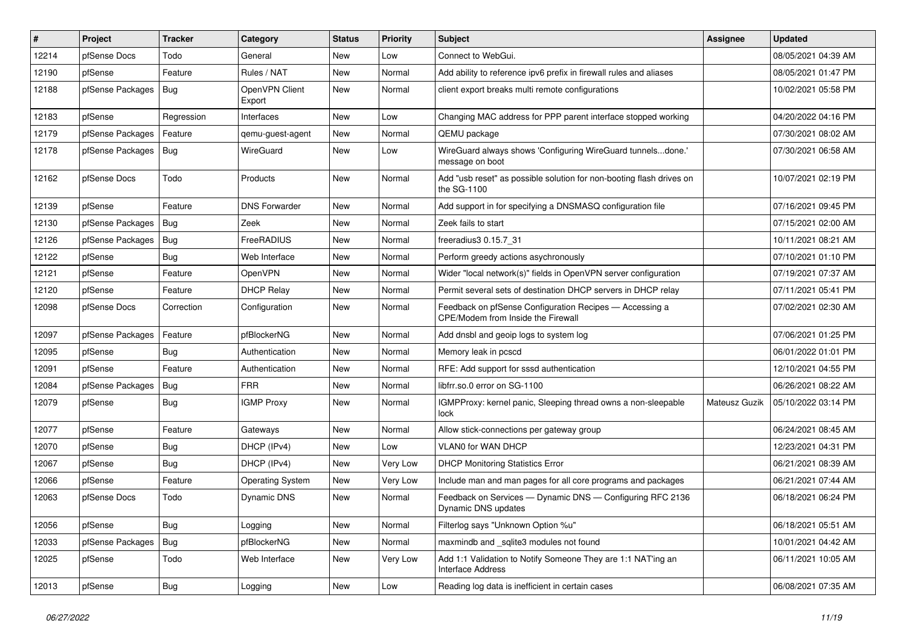| #     | Project                | <b>Tracker</b> | Category                 | <b>Status</b> | <b>Priority</b> | <b>Subject</b>                                                                                | <b>Assignee</b> | <b>Updated</b>      |
|-------|------------------------|----------------|--------------------------|---------------|-----------------|-----------------------------------------------------------------------------------------------|-----------------|---------------------|
| 12214 | pfSense Docs           | Todo           | General                  | New           | Low             | Connect to WebGui.                                                                            |                 | 08/05/2021 04:39 AM |
| 12190 | pfSense                | Feature        | Rules / NAT              | <b>New</b>    | Normal          | Add ability to reference ipv6 prefix in firewall rules and aliases                            |                 | 08/05/2021 01:47 PM |
| 12188 | pfSense Packages   Bug |                | OpenVPN Client<br>Export | New           | Normal          | client export breaks multi remote configurations                                              |                 | 10/02/2021 05:58 PM |
| 12183 | pfSense                | Regression     | Interfaces               | <b>New</b>    | Low             | Changing MAC address for PPP parent interface stopped working                                 |                 | 04/20/2022 04:16 PM |
| 12179 | pfSense Packages       | Feature        | qemu-guest-agent         | New           | Normal          | QEMU package                                                                                  |                 | 07/30/2021 08:02 AM |
| 12178 | pfSense Packages   Bug |                | WireGuard                | New           | Low             | WireGuard always shows 'Configuring WireGuard tunnelsdone.'<br>message on boot                |                 | 07/30/2021 06:58 AM |
| 12162 | pfSense Docs           | Todo           | Products                 | New           | Normal          | Add "usb reset" as possible solution for non-booting flash drives on<br>the SG-1100           |                 | 10/07/2021 02:19 PM |
| 12139 | pfSense                | Feature        | <b>DNS Forwarder</b>     | New           | Normal          | Add support in for specifying a DNSMASQ configuration file                                    |                 | 07/16/2021 09:45 PM |
| 12130 | pfSense Packages       | Bug            | Zeek                     | New           | Normal          | Zeek fails to start                                                                           |                 | 07/15/2021 02:00 AM |
| 12126 | pfSense Packages       | <b>Bug</b>     | FreeRADIUS               | <b>New</b>    | Normal          | freeradius3 0.15.7 31                                                                         |                 | 10/11/2021 08:21 AM |
| 12122 | pfSense                | Bug            | Web Interface            | New           | Normal          | Perform greedy actions asychronously                                                          |                 | 07/10/2021 01:10 PM |
| 12121 | pfSense                | Feature        | OpenVPN                  | New           | Normal          | Wider "local network(s)" fields in OpenVPN server configuration                               |                 | 07/19/2021 07:37 AM |
| 12120 | pfSense                | Feature        | <b>DHCP Relay</b>        | New           | Normal          | Permit several sets of destination DHCP servers in DHCP relay                                 |                 | 07/11/2021 05:41 PM |
| 12098 | pfSense Docs           | Correction     | Configuration            | New           | Normal          | Feedback on pfSense Configuration Recipes - Accessing a<br>CPE/Modem from Inside the Firewall |                 | 07/02/2021 02:30 AM |
| 12097 | pfSense Packages       | Feature        | pfBlockerNG              | New           | Normal          | Add dnsbl and geoip logs to system log                                                        |                 | 07/06/2021 01:25 PM |
| 12095 | pfSense                | Bug            | Authentication           | New           | Normal          | Memory leak in pcscd                                                                          |                 | 06/01/2022 01:01 PM |
| 12091 | pfSense                | Feature        | Authentication           | New           | Normal          | RFE: Add support for sssd authentication                                                      |                 | 12/10/2021 04:55 PM |
| 12084 | pfSense Packages       | Bug            | <b>FRR</b>               | New           | Normal          | libfrr.so.0 error on SG-1100                                                                  |                 | 06/26/2021 08:22 AM |
| 12079 | pfSense                | <b>Bug</b>     | <b>IGMP Proxy</b>        | New           | Normal          | IGMPProxy: kernel panic, Sleeping thread owns a non-sleepable<br>lock                         | Mateusz Guzik   | 05/10/2022 03:14 PM |
| 12077 | pfSense                | Feature        | Gateways                 | New           | Normal          | Allow stick-connections per gateway group                                                     |                 | 06/24/2021 08:45 AM |
| 12070 | pfSense                | <b>Bug</b>     | DHCP (IPv4)              | <b>New</b>    | Low             | VLAN0 for WAN DHCP                                                                            |                 | 12/23/2021 04:31 PM |
| 12067 | pfSense                | Bug            | DHCP (IPv4)              | New           | Very Low        | <b>DHCP Monitoring Statistics Error</b>                                                       |                 | 06/21/2021 08:39 AM |
| 12066 | pfSense                | Feature        | <b>Operating System</b>  | New           | Very Low        | Include man and man pages for all core programs and packages                                  |                 | 06/21/2021 07:44 AM |
| 12063 | pfSense Docs           | Todo           | Dynamic DNS              | New           | Normal          | Feedback on Services - Dynamic DNS - Configuring RFC 2136<br>Dynamic DNS updates              |                 | 06/18/2021 06:24 PM |
| 12056 | pfSense                | Bug            | Logging                  | New           | Normal          | Filterlog says "Unknown Option %u"                                                            |                 | 06/18/2021 05:51 AM |
| 12033 | pfSense Packages       | <b>Bug</b>     | pfBlockerNG              | New           | Normal          | maxmindb and _sqlite3 modules not found                                                       |                 | 10/01/2021 04:42 AM |
| 12025 | pfSense                | Todo           | Web Interface            | New           | Very Low        | Add 1:1 Validation to Notify Someone They are 1:1 NAT'ing an<br>Interface Address             |                 | 06/11/2021 10:05 AM |
| 12013 | pfSense                | Bug            | Logging                  | New           | Low             | Reading log data is inefficient in certain cases                                              |                 | 06/08/2021 07:35 AM |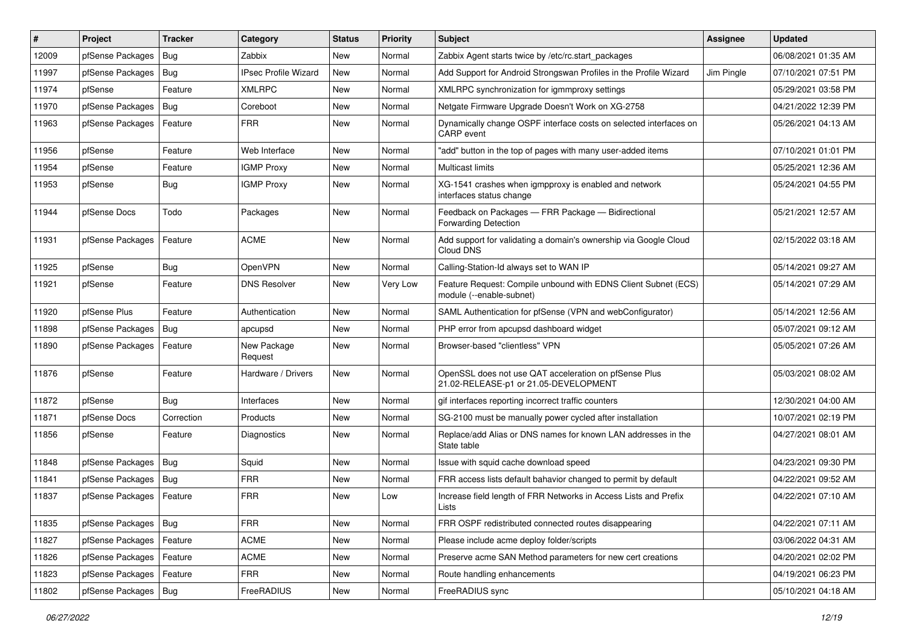| #     | Project                    | <b>Tracker</b> | Category                    | <b>Status</b> | <b>Priority</b> | Subject                                                                                        | <b>Assignee</b> | <b>Updated</b>      |
|-------|----------------------------|----------------|-----------------------------|---------------|-----------------|------------------------------------------------------------------------------------------------|-----------------|---------------------|
| 12009 | pfSense Packages           | Bug            | Zabbix                      | New           | Normal          | Zabbix Agent starts twice by /etc/rc.start packages                                            |                 | 06/08/2021 01:35 AM |
| 11997 | pfSense Packages   Bug     |                | <b>IPsec Profile Wizard</b> | <b>New</b>    | Normal          | Add Support for Android Strongswan Profiles in the Profile Wizard                              | Jim Pingle      | 07/10/2021 07:51 PM |
| 11974 | pfSense                    | Feature        | <b>XMLRPC</b>               | New           | Normal          | XMLRPC synchronization for igmmproxy settings                                                  |                 | 05/29/2021 03:58 PM |
| 11970 | pfSense Packages           | <b>Bug</b>     | Coreboot                    | New           | Normal          | Netgate Firmware Upgrade Doesn't Work on XG-2758                                               |                 | 04/21/2022 12:39 PM |
| 11963 | pfSense Packages           | Feature        | <b>FRR</b>                  | New           | Normal          | Dynamically change OSPF interface costs on selected interfaces on<br>CARP event                |                 | 05/26/2021 04:13 AM |
| 11956 | pfSense                    | Feature        | Web Interface               | New           | Normal          | "add" button in the top of pages with many user-added items                                    |                 | 07/10/2021 01:01 PM |
| 11954 | pfSense                    | Feature        | <b>IGMP Proxy</b>           | <b>New</b>    | Normal          | <b>Multicast limits</b>                                                                        |                 | 05/25/2021 12:36 AM |
| 11953 | pfSense                    | <b>Bug</b>     | <b>IGMP Proxy</b>           | New           | Normal          | XG-1541 crashes when igmpproxy is enabled and network<br>interfaces status change              |                 | 05/24/2021 04:55 PM |
| 11944 | pfSense Docs               | Todo           | Packages                    | <b>New</b>    | Normal          | Feedback on Packages - FRR Package - Bidirectional<br><b>Forwarding Detection</b>              |                 | 05/21/2021 12:57 AM |
| 11931 | pfSense Packages   Feature |                | <b>ACME</b>                 | New           | Normal          | Add support for validating a domain's ownership via Google Cloud<br>Cloud DNS                  |                 | 02/15/2022 03:18 AM |
| 11925 | pfSense                    | <b>Bug</b>     | OpenVPN                     | New           | Normal          | Calling-Station-Id always set to WAN IP                                                        |                 | 05/14/2021 09:27 AM |
| 11921 | pfSense                    | Feature        | <b>DNS Resolver</b>         | <b>New</b>    | Very Low        | Feature Request: Compile unbound with EDNS Client Subnet (ECS)<br>module (--enable-subnet)     |                 | 05/14/2021 07:29 AM |
| 11920 | pfSense Plus               | Feature        | Authentication              | New           | Normal          | SAML Authentication for pfSense (VPN and webConfigurator)                                      |                 | 05/14/2021 12:56 AM |
| 11898 | pfSense Packages           | <b>Bug</b>     | apcupsd                     | <b>New</b>    | Normal          | PHP error from apcupsd dashboard widget                                                        |                 | 05/07/2021 09:12 AM |
| 11890 | pfSense Packages           | Feature        | New Package<br>Request      | New           | Normal          | Browser-based "clientless" VPN                                                                 |                 | 05/05/2021 07:26 AM |
| 11876 | pfSense                    | Feature        | Hardware / Drivers          | New           | Normal          | OpenSSL does not use QAT acceleration on pfSense Plus<br>21.02-RELEASE-p1 or 21.05-DEVELOPMENT |                 | 05/03/2021 08:02 AM |
| 11872 | pfSense                    | <b>Bug</b>     | Interfaces                  | <b>New</b>    | Normal          | gif interfaces reporting incorrect traffic counters                                            |                 | 12/30/2021 04:00 AM |
| 11871 | pfSense Docs               | Correction     | Products                    | New           | Normal          | SG-2100 must be manually power cycled after installation                                       |                 | 10/07/2021 02:19 PM |
| 11856 | pfSense                    | Feature        | Diagnostics                 | New           | Normal          | Replace/add Alias or DNS names for known LAN addresses in the<br>State table                   |                 | 04/27/2021 08:01 AM |
| 11848 | pfSense Packages           | <b>Bug</b>     | Squid                       | New           | Normal          | Issue with squid cache download speed                                                          |                 | 04/23/2021 09:30 PM |
| 11841 | pfSense Packages           | Bug            | <b>FRR</b>                  | New           | Normal          | FRR access lists default bahavior changed to permit by default                                 |                 | 04/22/2021 09:52 AM |
| 11837 | pfSense Packages           | Feature        | <b>FRR</b>                  | New           | Low             | Increase field length of FRR Networks in Access Lists and Prefix<br>Lists                      |                 | 04/22/2021 07:10 AM |
| 11835 | pfSense Packages   Bug     |                | <b>FRR</b>                  | New           | Normal          | FRR OSPF redistributed connected routes disappearing                                           |                 | 04/22/2021 07:11 AM |
| 11827 | pfSense Packages           | Feature        | ACME                        | New           | Normal          | Please include acme deploy folder/scripts                                                      |                 | 03/06/2022 04:31 AM |
| 11826 | pfSense Packages           | Feature        | ACME                        | New           | Normal          | Preserve acme SAN Method parameters for new cert creations                                     |                 | 04/20/2021 02:02 PM |
| 11823 | pfSense Packages           | Feature        | <b>FRR</b>                  | New           | Normal          | Route handling enhancements                                                                    |                 | 04/19/2021 06:23 PM |
| 11802 | pfSense Packages   Bug     |                | FreeRADIUS                  | New           | Normal          | FreeRADIUS sync                                                                                |                 | 05/10/2021 04:18 AM |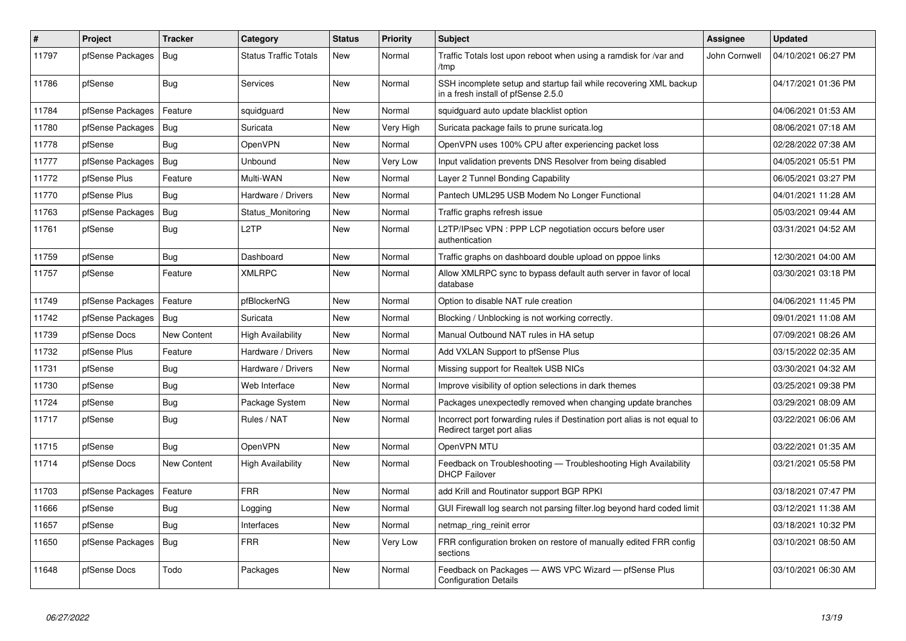| $\vert$ # | <b>Project</b>   | <b>Tracker</b> | Category                     | <b>Status</b> | Priority  | <b>Subject</b>                                                                                           | Assignee      | <b>Updated</b>      |
|-----------|------------------|----------------|------------------------------|---------------|-----------|----------------------------------------------------------------------------------------------------------|---------------|---------------------|
| 11797     | pfSense Packages | Bug            | <b>Status Traffic Totals</b> | New           | Normal    | Traffic Totals lost upon reboot when using a ramdisk for /var and<br>/tmp                                | John Cornwell | 04/10/2021 06:27 PM |
| 11786     | pfSense          | <b>Bug</b>     | <b>Services</b>              | New           | Normal    | SSH incomplete setup and startup fail while recovering XML backup<br>in a fresh install of pfSense 2.5.0 |               | 04/17/2021 01:36 PM |
| 11784     | pfSense Packages | Feature        | squidguard                   | New           | Normal    | squidquard auto update blacklist option                                                                  |               | 04/06/2021 01:53 AM |
| 11780     | pfSense Packages | <b>Bug</b>     | Suricata                     | New           | Very High | Suricata package fails to prune suricata.log                                                             |               | 08/06/2021 07:18 AM |
| 11778     | pfSense          | Bug            | OpenVPN                      | New           | Normal    | OpenVPN uses 100% CPU after experiencing packet loss                                                     |               | 02/28/2022 07:38 AM |
| 11777     | pfSense Packages | <b>Bug</b>     | Unbound                      | New           | Very Low  | Input validation prevents DNS Resolver from being disabled                                               |               | 04/05/2021 05:51 PM |
| 11772     | pfSense Plus     | Feature        | Multi-WAN                    | New           | Normal    | Layer 2 Tunnel Bonding Capability                                                                        |               | 06/05/2021 03:27 PM |
| 11770     | pfSense Plus     | <b>Bug</b>     | Hardware / Drivers           | New           | Normal    | Pantech UML295 USB Modem No Longer Functional                                                            |               | 04/01/2021 11:28 AM |
| 11763     | pfSense Packages | <b>Bug</b>     | Status Monitoring            | New           | Normal    | Traffic graphs refresh issue                                                                             |               | 05/03/2021 09:44 AM |
| 11761     | pfSense          | <b>Bug</b>     | L <sub>2</sub> TP            | New           | Normal    | L2TP/IPsec VPN : PPP LCP negotiation occurs before user<br>authentication                                |               | 03/31/2021 04:52 AM |
| 11759     | pfSense          | Bug            | Dashboard                    | New           | Normal    | Traffic graphs on dashboard double upload on pppoe links                                                 |               | 12/30/2021 04:00 AM |
| 11757     | pfSense          | Feature        | <b>XMLRPC</b>                | New           | Normal    | Allow XMLRPC sync to bypass default auth server in favor of local<br>database                            |               | 03/30/2021 03:18 PM |
| 11749     | pfSense Packages | Feature        | pfBlockerNG                  | New           | Normal    | Option to disable NAT rule creation                                                                      |               | 04/06/2021 11:45 PM |
| 11742     | pfSense Packages | <b>Bug</b>     | Suricata                     | New           | Normal    | Blocking / Unblocking is not working correctly.                                                          |               | 09/01/2021 11:08 AM |
| 11739     | pfSense Docs     | New Content    | High Availability            | New           | Normal    | Manual Outbound NAT rules in HA setup                                                                    |               | 07/09/2021 08:26 AM |
| 11732     | pfSense Plus     | Feature        | Hardware / Drivers           | New           | Normal    | Add VXLAN Support to pfSense Plus                                                                        |               | 03/15/2022 02:35 AM |
| 11731     | pfSense          | <b>Bug</b>     | Hardware / Drivers           | New           | Normal    | Missing support for Realtek USB NICs                                                                     |               | 03/30/2021 04:32 AM |
| 11730     | pfSense          | <b>Bug</b>     | Web Interface                | New           | Normal    | Improve visibility of option selections in dark themes                                                   |               | 03/25/2021 09:38 PM |
| 11724     | pfSense          | Bug            | Package System               | New           | Normal    | Packages unexpectedly removed when changing update branches                                              |               | 03/29/2021 08:09 AM |
| 11717     | pfSense          | <b>Bug</b>     | Rules / NAT                  | New           | Normal    | Incorrect port forwarding rules if Destination port alias is not equal to<br>Redirect target port alias  |               | 03/22/2021 06:06 AM |
| 11715     | pfSense          | Bug            | <b>OpenVPN</b>               | New           | Normal    | OpenVPN MTU                                                                                              |               | 03/22/2021 01:35 AM |
| 11714     | pfSense Docs     | New Content    | High Availability            | New           | Normal    | Feedback on Troubleshooting - Troubleshooting High Availability<br><b>DHCP Failover</b>                  |               | 03/21/2021 05:58 PM |
| 11703     | pfSense Packages | Feature        | <b>FRR</b>                   | New           | Normal    | add Krill and Routinator support BGP RPKI                                                                |               | 03/18/2021 07:47 PM |
| 11666     | pfSense          | <b>Bug</b>     | Logging                      | New           | Normal    | GUI Firewall log search not parsing filter.log beyond hard coded limit                                   |               | 03/12/2021 11:38 AM |
| 11657     | pfSense          | Bug            | Interfaces                   | New           | Normal    | netmap_ring_reinit error                                                                                 |               | 03/18/2021 10:32 PM |
| 11650     | pfSense Packages | Bug            | <b>FRR</b>                   | New           | Very Low  | FRR configuration broken on restore of manually edited FRR config<br>sections                            |               | 03/10/2021 08:50 AM |
| 11648     | pfSense Docs     | Todo           | Packages                     | New           | Normal    | Feedback on Packages - AWS VPC Wizard - pfSense Plus<br><b>Configuration Details</b>                     |               | 03/10/2021 06:30 AM |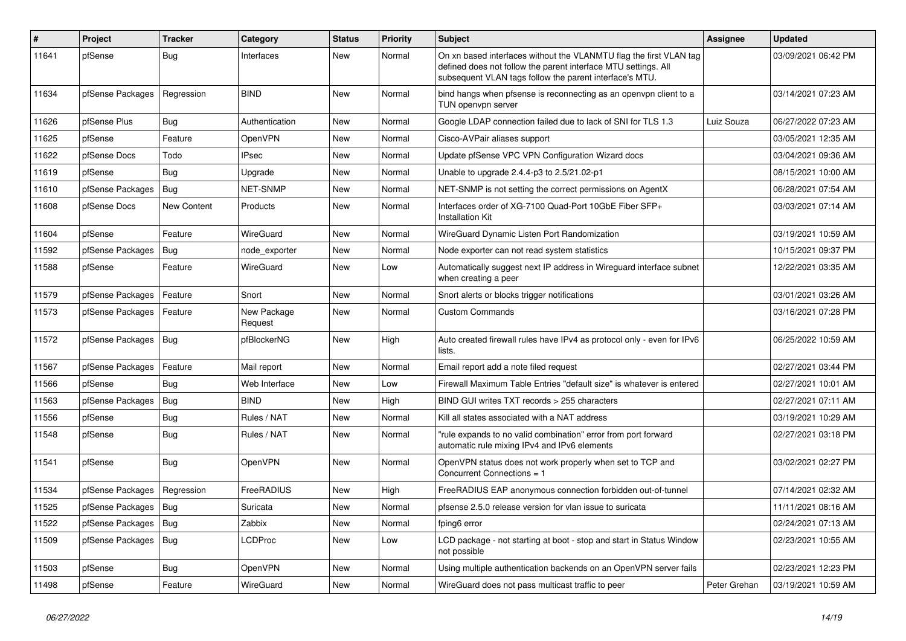| $\sharp$ | Project          | <b>Tracker</b> | Category               | <b>Status</b> | <b>Priority</b> | <b>Subject</b>                                                                                                                                                                                  | <b>Assignee</b> | <b>Updated</b>      |
|----------|------------------|----------------|------------------------|---------------|-----------------|-------------------------------------------------------------------------------------------------------------------------------------------------------------------------------------------------|-----------------|---------------------|
| 11641    | pfSense          | Bug            | Interfaces             | <b>New</b>    | Normal          | On xn based interfaces without the VLANMTU flag the first VLAN tag<br>defined does not follow the parent interface MTU settings. All<br>subsequent VLAN tags follow the parent interface's MTU. |                 | 03/09/2021 06:42 PM |
| 11634    | pfSense Packages | Regression     | <b>BIND</b>            | <b>New</b>    | Normal          | bind hangs when pfsense is reconnecting as an openypn client to a<br>TUN openvpn server                                                                                                         |                 | 03/14/2021 07:23 AM |
| 11626    | pfSense Plus     | Bug            | Authentication         | New           | Normal          | Google LDAP connection failed due to lack of SNI for TLS 1.3                                                                                                                                    | Luiz Souza      | 06/27/2022 07:23 AM |
| 11625    | pfSense          | Feature        | OpenVPN                | New           | Normal          | Cisco-AVPair aliases support                                                                                                                                                                    |                 | 03/05/2021 12:35 AM |
| 11622    | pfSense Docs     | Todo           | <b>IPsec</b>           | New           | Normal          | Update pfSense VPC VPN Configuration Wizard docs                                                                                                                                                |                 | 03/04/2021 09:36 AM |
| 11619    | pfSense          | Bug            | Upgrade                | New           | Normal          | Unable to upgrade 2.4.4-p3 to 2.5/21.02-p1                                                                                                                                                      |                 | 08/15/2021 10:00 AM |
| 11610    | pfSense Packages | <b>Bug</b>     | NET-SNMP               | New           | Normal          | NET-SNMP is not setting the correct permissions on AgentX                                                                                                                                       |                 | 06/28/2021 07:54 AM |
| 11608    | pfSense Docs     | New Content    | Products               | New           | Normal          | Interfaces order of XG-7100 Quad-Port 10GbE Fiber SFP+<br><b>Installation Kit</b>                                                                                                               |                 | 03/03/2021 07:14 AM |
| 11604    | pfSense          | Feature        | WireGuard              | <b>New</b>    | Normal          | WireGuard Dynamic Listen Port Randomization                                                                                                                                                     |                 | 03/19/2021 10:59 AM |
| 11592    | pfSense Packages | <b>Bug</b>     | node exporter          | <b>New</b>    | Normal          | Node exporter can not read system statistics                                                                                                                                                    |                 | 10/15/2021 09:37 PM |
| 11588    | pfSense          | Feature        | WireGuard              | <b>New</b>    | Low             | Automatically suggest next IP address in Wireguard interface subnet<br>when creating a peer                                                                                                     |                 | 12/22/2021 03:35 AM |
| 11579    | pfSense Packages | Feature        | Snort                  | New           | Normal          | Snort alerts or blocks trigger notifications                                                                                                                                                    |                 | 03/01/2021 03:26 AM |
| 11573    | pfSense Packages | Feature        | New Package<br>Request | New           | Normal          | <b>Custom Commands</b>                                                                                                                                                                          |                 | 03/16/2021 07:28 PM |
| 11572    | pfSense Packages | Bug            | pfBlockerNG            | New           | High            | Auto created firewall rules have IPv4 as protocol only - even for IPv6<br>lists.                                                                                                                |                 | 06/25/2022 10:59 AM |
| 11567    | pfSense Packages | Feature        | Mail report            | <b>New</b>    | Normal          | Email report add a note filed request                                                                                                                                                           |                 | 02/27/2021 03:44 PM |
| 11566    | pfSense          | <b>Bug</b>     | Web Interface          | <b>New</b>    | Low             | Firewall Maximum Table Entries "default size" is whatever is entered                                                                                                                            |                 | 02/27/2021 10:01 AM |
| 11563    | pfSense Packages | <b>Bug</b>     | <b>BIND</b>            | New           | High            | BIND GUI writes TXT records > 255 characters                                                                                                                                                    |                 | 02/27/2021 07:11 AM |
| 11556    | pfSense          | <b>Bug</b>     | Rules / NAT            | New           | Normal          | Kill all states associated with a NAT address                                                                                                                                                   |                 | 03/19/2021 10:29 AM |
| 11548    | pfSense          | <b>Bug</b>     | Rules / NAT            | New           | Normal          | "rule expands to no valid combination" error from port forward<br>automatic rule mixing IPv4 and IPv6 elements                                                                                  |                 | 02/27/2021 03:18 PM |
| 11541    | pfSense          | <b>Bug</b>     | OpenVPN                | New           | Normal          | OpenVPN status does not work properly when set to TCP and<br>Concurrent Connections = 1                                                                                                         |                 | 03/02/2021 02:27 PM |
| 11534    | pfSense Packages | Regression     | FreeRADIUS             | <b>New</b>    | High            | FreeRADIUS EAP anonymous connection forbidden out-of-tunnel                                                                                                                                     |                 | 07/14/2021 02:32 AM |
| 11525    | pfSense Packages | <b>Bug</b>     | Suricata               | New           | Normal          | pfsense 2.5.0 release version for vlan issue to suricata                                                                                                                                        |                 | 11/11/2021 08:16 AM |
| 11522    | pfSense Packages | <b>Bug</b>     | Zabbix                 | <b>New</b>    | Normal          | fping6 error                                                                                                                                                                                    |                 | 02/24/2021 07:13 AM |
| 11509    | pfSense Packages | Bug            | <b>LCDProc</b>         | <b>New</b>    | Low             | LCD package - not starting at boot - stop and start in Status Window<br>not possible                                                                                                            |                 | 02/23/2021 10:55 AM |
| 11503    | pfSense          | Bug            | OpenVPN                | New           | Normal          | Using multiple authentication backends on an OpenVPN server fails                                                                                                                               |                 | 02/23/2021 12:23 PM |
| 11498    | pfSense          | Feature        | WireGuard              | New           | Normal          | WireGuard does not pass multicast traffic to peer                                                                                                                                               | Peter Grehan    | 03/19/2021 10:59 AM |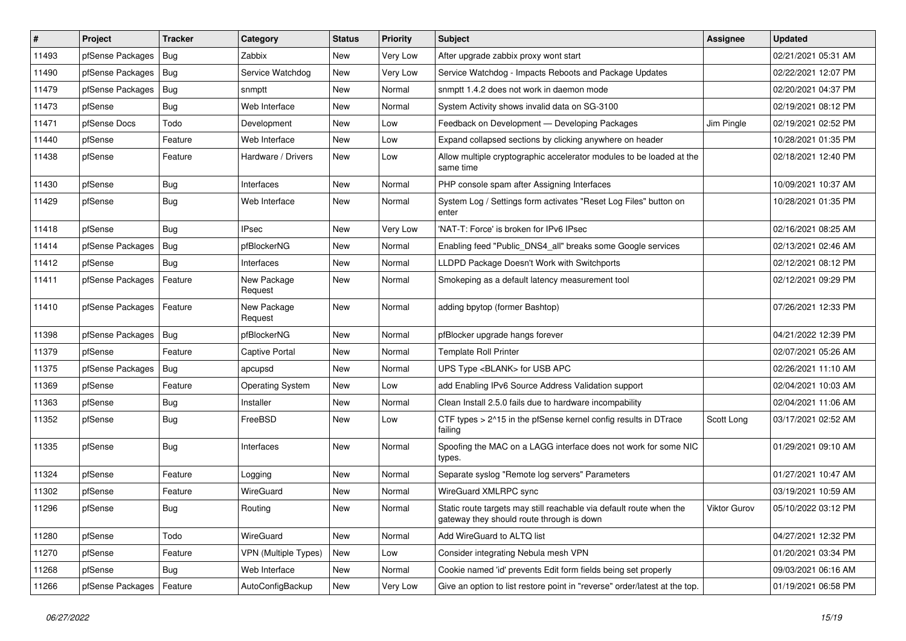| $\vert$ # | Project          | <b>Tracker</b> | Category                | <b>Status</b> | <b>Priority</b> | <b>Subject</b>                                                                                                   | <b>Assignee</b> | <b>Updated</b>      |
|-----------|------------------|----------------|-------------------------|---------------|-----------------|------------------------------------------------------------------------------------------------------------------|-----------------|---------------------|
| 11493     | pfSense Packages | <b>Bug</b>     | Zabbix                  | New           | Very Low        | After upgrade zabbix proxy wont start                                                                            |                 | 02/21/2021 05:31 AM |
| 11490     | pfSense Packages | Bug            | Service Watchdog        | New           | Very Low        | Service Watchdog - Impacts Reboots and Package Updates                                                           |                 | 02/22/2021 12:07 PM |
| 11479     | pfSense Packages | <b>Bug</b>     | snmptt                  | New           | Normal          | snmptt 1.4.2 does not work in daemon mode                                                                        |                 | 02/20/2021 04:37 PM |
| 11473     | pfSense          | <b>Bug</b>     | Web Interface           | New           | Normal          | System Activity shows invalid data on SG-3100                                                                    |                 | 02/19/2021 08:12 PM |
| 11471     | pfSense Docs     | Todo           | Development             | New           | Low             | Feedback on Development - Developing Packages                                                                    | Jim Pingle      | 02/19/2021 02:52 PM |
| 11440     | pfSense          | Feature        | Web Interface           | New           | LOW             | Expand collapsed sections by clicking anywhere on header                                                         |                 | 10/28/2021 01:35 PM |
| 11438     | pfSense          | Feature        | Hardware / Drivers      | New           | Low             | Allow multiple cryptographic accelerator modules to be loaded at the<br>same time                                |                 | 02/18/2021 12:40 PM |
| 11430     | pfSense          | <b>Bug</b>     | Interfaces              | New           | Normal          | PHP console spam after Assigning Interfaces                                                                      |                 | 10/09/2021 10:37 AM |
| 11429     | pfSense          | <b>Bug</b>     | Web Interface           | New           | Normal          | System Log / Settings form activates "Reset Log Files" button on<br>enter                                        |                 | 10/28/2021 01:35 PM |
| 11418     | pfSense          | <b>Bug</b>     | <b>IPsec</b>            | New           | Very Low        | 'NAT-T: Force' is broken for IPv6 IPsec                                                                          |                 | 02/16/2021 08:25 AM |
| 11414     | pfSense Packages | <b>Bug</b>     | pfBlockerNG             | New           | Normal          | Enabling feed "Public_DNS4_all" breaks some Google services                                                      |                 | 02/13/2021 02:46 AM |
| 11412     | pfSense          | <b>Bug</b>     | Interfaces              | New           | Normal          | LLDPD Package Doesn't Work with Switchports                                                                      |                 | 02/12/2021 08:12 PM |
| 11411     | pfSense Packages | Feature        | New Package<br>Request  | New           | Normal          | Smokeping as a default latency measurement tool                                                                  |                 | 02/12/2021 09:29 PM |
| 11410     | pfSense Packages | Feature        | New Package<br>Request  | New           | Normal          | adding bpytop (former Bashtop)                                                                                   |                 | 07/26/2021 12:33 PM |
| 11398     | pfSense Packages | Bug            | pfBlockerNG             | New           | Normal          | pfBlocker upgrade hangs forever                                                                                  |                 | 04/21/2022 12:39 PM |
| 11379     | pfSense          | Feature        | <b>Captive Portal</b>   | New           | Normal          | <b>Template Roll Printer</b>                                                                                     |                 | 02/07/2021 05:26 AM |
| 11375     | pfSense Packages | <b>Bug</b>     | apcupsd                 | New           | Normal          | UPS Type <blank> for USB APC</blank>                                                                             |                 | 02/26/2021 11:10 AM |
| 11369     | pfSense          | Feature        | <b>Operating System</b> | New           | Low             | add Enabling IPv6 Source Address Validation support                                                              |                 | 02/04/2021 10:03 AM |
| 11363     | pfSense          | <b>Bug</b>     | Installer               | New           | Normal          | Clean Install 2.5.0 fails due to hardware incompability                                                          |                 | 02/04/2021 11:06 AM |
| 11352     | pfSense          | <b>Bug</b>     | FreeBSD                 | New           | Low             | CTF types > 2^15 in the pfSense kernel config results in DTrace<br>failing                                       | Scott Long      | 03/17/2021 02:52 AM |
| 11335     | pfSense          | <b>Bug</b>     | Interfaces              | New           | Normal          | Spoofing the MAC on a LAGG interface does not work for some NIC<br>types.                                        |                 | 01/29/2021 09:10 AM |
| 11324     | pfSense          | Feature        | Logging                 | New           | Normal          | Separate syslog "Remote log servers" Parameters                                                                  |                 | 01/27/2021 10:47 AM |
| 11302     | pfSense          | Feature        | WireGuard               | New           | Normal          | WireGuard XMLRPC sync                                                                                            |                 | 03/19/2021 10:59 AM |
| 11296     | pfSense          | Bug            | Routing                 | New           | Normal          | Static route targets may still reachable via default route when the<br>gateway they should route through is down | Viktor Gurov    | 05/10/2022 03:12 PM |
| 11280     | pfSense          | Todo           | WireGuard               | New           | Normal          | Add WireGuard to ALTQ list                                                                                       |                 | 04/27/2021 12:32 PM |
| 11270     | pfSense          | Feature        | VPN (Multiple Types)    | New           | Low             | Consider integrating Nebula mesh VPN                                                                             |                 | 01/20/2021 03:34 PM |
| 11268     | pfSense          | Bug            | Web Interface           | New           | Normal          | Cookie named 'id' prevents Edit form fields being set properly                                                   |                 | 09/03/2021 06:16 AM |
| 11266     | pfSense Packages | Feature        | AutoConfigBackup        | New           | Very Low        | Give an option to list restore point in "reverse" order/latest at the top.                                       |                 | 01/19/2021 06:58 PM |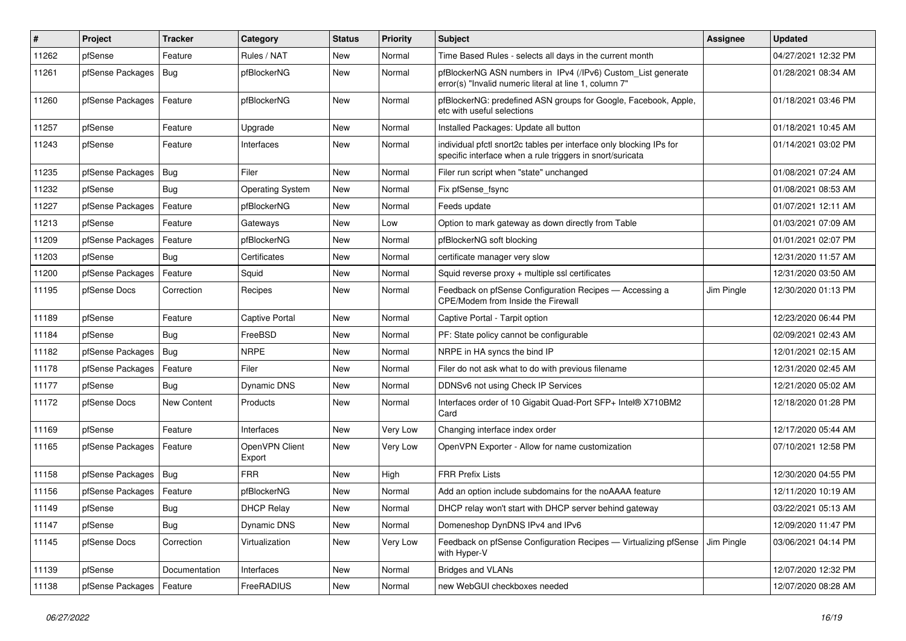| #     | Project          | <b>Tracker</b> | Category                 | <b>Status</b> | <b>Priority</b> | <b>Subject</b>                                                                                                                   | <b>Assignee</b> | <b>Updated</b>      |
|-------|------------------|----------------|--------------------------|---------------|-----------------|----------------------------------------------------------------------------------------------------------------------------------|-----------------|---------------------|
| 11262 | pfSense          | Feature        | Rules / NAT              | New           | Normal          | Time Based Rules - selects all days in the current month                                                                         |                 | 04/27/2021 12:32 PM |
| 11261 | pfSense Packages | <b>Bug</b>     | pfBlockerNG              | New           | Normal          | pfBlockerNG ASN numbers in IPv4 (/IPv6) Custom_List generate<br>error(s) "Invalid numeric literal at line 1, column 7"           |                 | 01/28/2021 08:34 AM |
| 11260 | pfSense Packages | Feature        | pfBlockerNG              | New           | Normal          | pfBlockerNG: predefined ASN groups for Google, Facebook, Apple,<br>etc with useful selections                                    |                 | 01/18/2021 03:46 PM |
| 11257 | pfSense          | Feature        | Upgrade                  | New           | Normal          | Installed Packages: Update all button                                                                                            |                 | 01/18/2021 10:45 AM |
| 11243 | pfSense          | Feature        | Interfaces               | New           | Normal          | individual pfctl snort2c tables per interface only blocking IPs for<br>specific interface when a rule triggers in snort/suricata |                 | 01/14/2021 03:02 PM |
| 11235 | pfSense Packages | <b>Bug</b>     | Filer                    | New           | Normal          | Filer run script when "state" unchanged                                                                                          |                 | 01/08/2021 07:24 AM |
| 11232 | pfSense          | Bug            | <b>Operating System</b>  | New           | Normal          | Fix pfSense_fsync                                                                                                                |                 | 01/08/2021 08:53 AM |
| 11227 | pfSense Packages | Feature        | pfBlockerNG              | New           | Normal          | Feeds update                                                                                                                     |                 | 01/07/2021 12:11 AM |
| 11213 | pfSense          | Feature        | Gateways                 | New           | Low             | Option to mark gateway as down directly from Table                                                                               |                 | 01/03/2021 07:09 AM |
| 11209 | pfSense Packages | Feature        | pfBlockerNG              | New           | Normal          | pfBlockerNG soft blocking                                                                                                        |                 | 01/01/2021 02:07 PM |
| 11203 | pfSense          | <b>Bug</b>     | Certificates             | New           | Normal          | certificate manager very slow                                                                                                    |                 | 12/31/2020 11:57 AM |
| 11200 | pfSense Packages | Feature        | Squid                    | New           | Normal          | Squid reverse proxy + multiple ssl certificates                                                                                  |                 | 12/31/2020 03:50 AM |
| 11195 | pfSense Docs     | Correction     | Recipes                  | New           | Normal          | Feedback on pfSense Configuration Recipes - Accessing a<br><b>CPE/Modem from Inside the Firewall</b>                             | Jim Pingle      | 12/30/2020 01:13 PM |
| 11189 | pfSense          | Feature        | Captive Portal           | New           | Normal          | Captive Portal - Tarpit option                                                                                                   |                 | 12/23/2020 06:44 PM |
| 11184 | pfSense          | <b>Bug</b>     | FreeBSD                  | New           | Normal          | PF: State policy cannot be configurable                                                                                          |                 | 02/09/2021 02:43 AM |
| 11182 | pfSense Packages | <b>Bug</b>     | <b>NRPE</b>              | New           | Normal          | NRPE in HA syncs the bind IP                                                                                                     |                 | 12/01/2021 02:15 AM |
| 11178 | pfSense Packages | Feature        | Filer                    | New           | Normal          | Filer do not ask what to do with previous filename                                                                               |                 | 12/31/2020 02:45 AM |
| 11177 | pfSense          | <b>Bug</b>     | Dynamic DNS              | New           | Normal          | DDNSv6 not using Check IP Services                                                                                               |                 | 12/21/2020 05:02 AM |
| 11172 | pfSense Docs     | New Content    | Products                 | New           | Normal          | Interfaces order of 10 Gigabit Quad-Port SFP+ Intel® X710BM2<br>Card                                                             |                 | 12/18/2020 01:28 PM |
| 11169 | pfSense          | Feature        | Interfaces               | New           | Very Low        | Changing interface index order                                                                                                   |                 | 12/17/2020 05:44 AM |
| 11165 | pfSense Packages | Feature        | OpenVPN Client<br>Export | New           | Very Low        | OpenVPN Exporter - Allow for name customization                                                                                  |                 | 07/10/2021 12:58 PM |
| 11158 | pfSense Packages | Bug            | <b>FRR</b>               | New           | High            | <b>FRR Prefix Lists</b>                                                                                                          |                 | 12/30/2020 04:55 PM |
| 11156 | pfSense Packages | Feature        | pfBlockerNG              | New           | Normal          | Add an option include subdomains for the noAAAA feature                                                                          |                 | 12/11/2020 10:19 AM |
| 11149 | pfSense          | <b>Bug</b>     | <b>DHCP Relay</b>        | New           | Normal          | DHCP relay won't start with DHCP server behind gateway                                                                           |                 | 03/22/2021 05:13 AM |
| 11147 | pfSense          | Bug            | Dynamic DNS              | New           | Normal          | Domeneshop DynDNS IPv4 and IPv6                                                                                                  |                 | 12/09/2020 11:47 PM |
| 11145 | pfSense Docs     | Correction     | Virtualization           | New           | Very Low        | Feedback on pfSense Configuration Recipes - Virtualizing pfSense<br>with Hyper-V                                                 | Jim Pingle      | 03/06/2021 04:14 PM |
| 11139 | pfSense          | Documentation  | Interfaces               | New           | Normal          | <b>Bridges and VLANs</b>                                                                                                         |                 | 12/07/2020 12:32 PM |
| 11138 | pfSense Packages | Feature        | FreeRADIUS               | New           | Normal          | new WebGUI checkboxes needed                                                                                                     |                 | 12/07/2020 08:28 AM |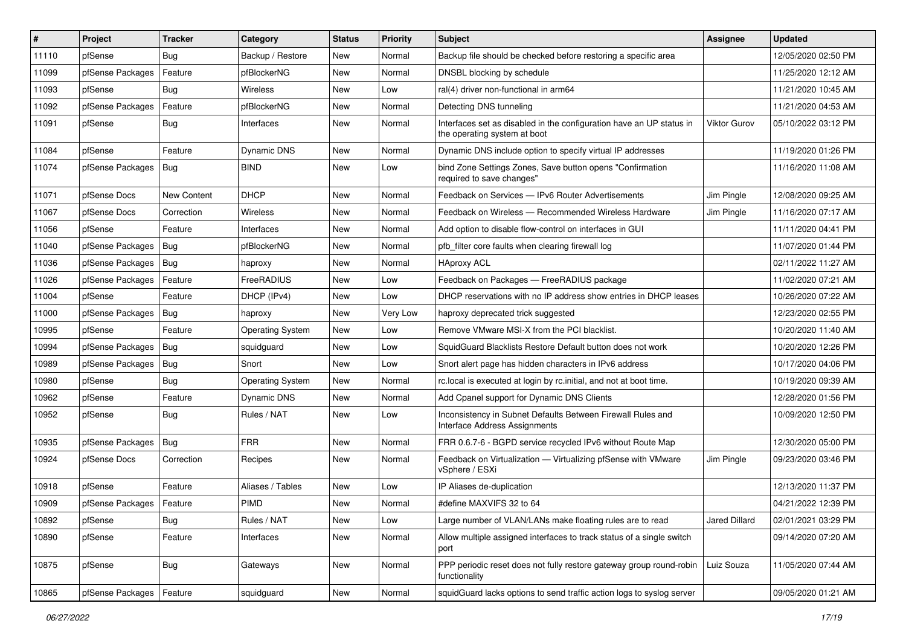| $\vert$ # | Project          | <b>Tracker</b>     | Category                | <b>Status</b> | <b>Priority</b> | <b>Subject</b>                                                                                       | Assignee      | <b>Updated</b>      |
|-----------|------------------|--------------------|-------------------------|---------------|-----------------|------------------------------------------------------------------------------------------------------|---------------|---------------------|
| 11110     | pfSense          | <b>Bug</b>         | Backup / Restore        | New           | Normal          | Backup file should be checked before restoring a specific area                                       |               | 12/05/2020 02:50 PM |
| 11099     | pfSense Packages | Feature            | pfBlockerNG             | New           | Normal          | DNSBL blocking by schedule                                                                           |               | 11/25/2020 12:12 AM |
| 11093     | pfSense          | Bug                | <b>Wireless</b>         | New           | Low             | ral(4) driver non-functional in arm64                                                                |               | 11/21/2020 10:45 AM |
| 11092     | pfSense Packages | Feature            | pfBlockerNG             | New           | Normal          | Detecting DNS tunneling                                                                              |               | 11/21/2020 04:53 AM |
| 11091     | pfSense          | Bug                | Interfaces              | New           | Normal          | Interfaces set as disabled in the configuration have an UP status in<br>the operating system at boot | Viktor Gurov  | 05/10/2022 03:12 PM |
| 11084     | pfSense          | Feature            | Dynamic DNS             | New           | Normal          | Dynamic DNS include option to specify virtual IP addresses                                           |               | 11/19/2020 01:26 PM |
| 11074     | pfSense Packages | <b>Bug</b>         | <b>BIND</b>             | New           | Low             | bind Zone Settings Zones, Save button opens "Confirmation<br>required to save changes"               |               | 11/16/2020 11:08 AM |
| 11071     | pfSense Docs     | <b>New Content</b> | <b>DHCP</b>             | New           | Normal          | Feedback on Services - IPv6 Router Advertisements                                                    | Jim Pingle    | 12/08/2020 09:25 AM |
| 11067     | pfSense Docs     | Correction         | Wireless                | New           | Normal          | Feedback on Wireless - Recommended Wireless Hardware                                                 | Jim Pingle    | 11/16/2020 07:17 AM |
| 11056     | pfSense          | Feature            | Interfaces              | New           | Normal          | Add option to disable flow-control on interfaces in GUI                                              |               | 11/11/2020 04:41 PM |
| 11040     | pfSense Packages | <b>Bug</b>         | pfBlockerNG             | New           | Normal          | pfb filter core faults when clearing firewall log                                                    |               | 11/07/2020 01:44 PM |
| 11036     | pfSense Packages | <b>Bug</b>         | haproxy                 | New           | Normal          | <b>HAproxy ACL</b>                                                                                   |               | 02/11/2022 11:27 AM |
| 11026     | pfSense Packages | Feature            | FreeRADIUS              | New           | Low             | Feedback on Packages - FreeRADIUS package                                                            |               | 11/02/2020 07:21 AM |
| 11004     | pfSense          | Feature            | DHCP (IPv4)             | <b>New</b>    | Low             | DHCP reservations with no IP address show entries in DHCP leases                                     |               | 10/26/2020 07:22 AM |
| 11000     | pfSense Packages | <b>Bug</b>         | haproxy                 | New           | Very Low        | haproxy deprecated trick suggested                                                                   |               | 12/23/2020 02:55 PM |
| 10995     | pfSense          | Feature            | <b>Operating System</b> | New           | Low             | Remove VMware MSI-X from the PCI blacklist.                                                          |               | 10/20/2020 11:40 AM |
| 10994     | pfSense Packages | <b>Bug</b>         | squidguard              | New           | Low             | SquidGuard Blacklists Restore Default button does not work                                           |               | 10/20/2020 12:26 PM |
| 10989     | pfSense Packages | Bug                | Snort                   | New           | Low             | Snort alert page has hidden characters in IPv6 address                                               |               | 10/17/2020 04:06 PM |
| 10980     | pfSense          | <b>Bug</b>         | <b>Operating System</b> | New           | Normal          | rc.local is executed at login by rc.initial, and not at boot time.                                   |               | 10/19/2020 09:39 AM |
| 10962     | pfSense          | Feature            | Dynamic DNS             | New           | Normal          | Add Cpanel support for Dynamic DNS Clients                                                           |               | 12/28/2020 01:56 PM |
| 10952     | pfSense          | <b>Bug</b>         | Rules / NAT             | New           | Low             | Inconsistency in Subnet Defaults Between Firewall Rules and<br>Interface Address Assignments         |               | 10/09/2020 12:50 PM |
| 10935     | pfSense Packages | <b>Bug</b>         | <b>FRR</b>              | New           | Normal          | FRR 0.6.7-6 - BGPD service recycled IPv6 without Route Map                                           |               | 12/30/2020 05:00 PM |
| 10924     | pfSense Docs     | Correction         | Recipes                 | New           | Normal          | Feedback on Virtualization - Virtualizing pfSense with VMware<br>vSphere / ESXi                      | Jim Pingle    | 09/23/2020 03:46 PM |
| 10918     | pfSense          | Feature            | Aliases / Tables        | New           | Low             | IP Aliases de-duplication                                                                            |               | 12/13/2020 11:37 PM |
| 10909     | pfSense Packages | Feature            | PIMD                    | New           | Normal          | #define MAXVIFS 32 to 64                                                                             |               | 04/21/2022 12:39 PM |
| 10892     | pfSense          | <b>Bug</b>         | Rules / NAT             | New           | Low             | Large number of VLAN/LANs make floating rules are to read                                            | Jared Dillard | 02/01/2021 03:29 PM |
| 10890     | pfSense          | Feature            | Interfaces              | New           | Normal          | Allow multiple assigned interfaces to track status of a single switch<br>port                        |               | 09/14/2020 07:20 AM |
| 10875     | pfSense          | Bug                | Gateways                | New           | Normal          | PPP periodic reset does not fully restore gateway group round-robin<br>functionality                 | Luiz Souza    | 11/05/2020 07:44 AM |
| 10865     | pfSense Packages | Feature            | squidguard              | New           | Normal          | squidGuard lacks options to send traffic action logs to syslog server                                |               | 09/05/2020 01:21 AM |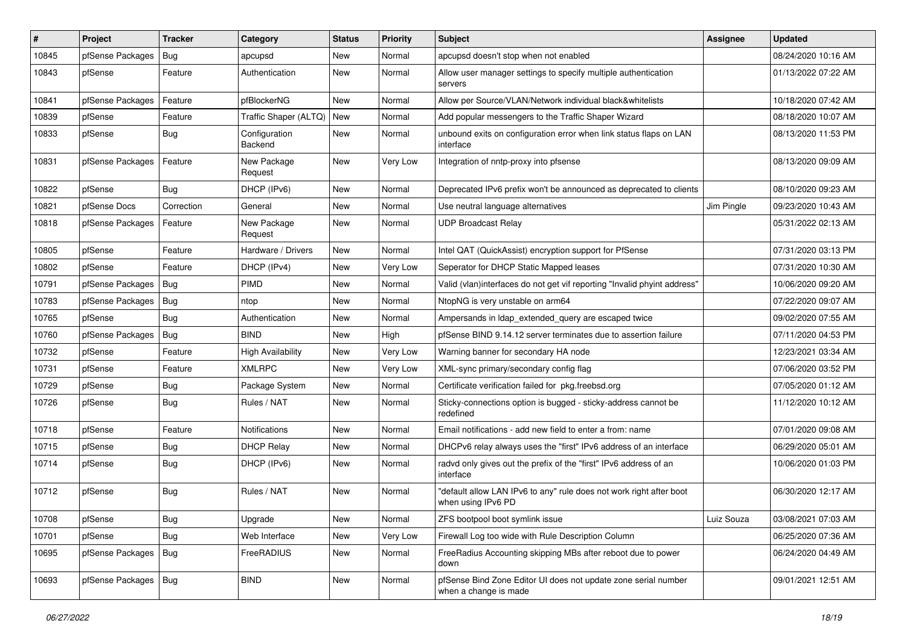| #     | Project          | <b>Tracker</b> | Category                 | <b>Status</b> | <b>Priority</b> | <b>Subject</b>                                                                            | Assignee   | <b>Updated</b>      |
|-------|------------------|----------------|--------------------------|---------------|-----------------|-------------------------------------------------------------------------------------------|------------|---------------------|
| 10845 | pfSense Packages | Bug            | apcupsd                  | New           | Normal          | apcupsd doesn't stop when not enabled                                                     |            | 08/24/2020 10:16 AM |
| 10843 | pfSense          | Feature        | Authentication           | New           | Normal          | Allow user manager settings to specify multiple authentication<br>servers                 |            | 01/13/2022 07:22 AM |
| 10841 | pfSense Packages | Feature        | pfBlockerNG              | New           | Normal          | Allow per Source/VLAN/Network individual black&whitelists                                 |            | 10/18/2020 07:42 AM |
| 10839 | pfSense          | Feature        | Traffic Shaper (ALTQ)    | New           | Normal          | Add popular messengers to the Traffic Shaper Wizard                                       |            | 08/18/2020 10:07 AM |
| 10833 | pfSense          | <b>Bug</b>     | Configuration<br>Backend | New           | Normal          | unbound exits on configuration error when link status flaps on LAN<br>interface           |            | 08/13/2020 11:53 PM |
| 10831 | pfSense Packages | Feature        | New Package<br>Request   | New           | Very Low        | Integration of nntp-proxy into pfsense                                                    |            | 08/13/2020 09:09 AM |
| 10822 | pfSense          | <b>Bug</b>     | DHCP (IPv6)              | New           | Normal          | Deprecated IPv6 prefix won't be announced as deprecated to clients                        |            | 08/10/2020 09:23 AM |
| 10821 | pfSense Docs     | Correction     | General                  | New           | Normal          | Use neutral language alternatives                                                         | Jim Pingle | 09/23/2020 10:43 AM |
| 10818 | pfSense Packages | Feature        | New Package<br>Request   | New           | Normal          | <b>UDP Broadcast Relay</b>                                                                |            | 05/31/2022 02:13 AM |
| 10805 | pfSense          | Feature        | Hardware / Drivers       | New           | Normal          | Intel QAT (QuickAssist) encryption support for PfSense                                    |            | 07/31/2020 03:13 PM |
| 10802 | pfSense          | Feature        | DHCP (IPv4)              | New           | Very Low        | Seperator for DHCP Static Mapped leases                                                   |            | 07/31/2020 10:30 AM |
| 10791 | pfSense Packages | <b>Bug</b>     | <b>PIMD</b>              | New           | Normal          | Valid (vlan)interfaces do not get vif reporting "Invalid phyint address"                  |            | 10/06/2020 09:20 AM |
| 10783 | pfSense Packages | <b>Bug</b>     | ntop                     | New           | Normal          | NtopNG is very unstable on arm64                                                          |            | 07/22/2020 09:07 AM |
| 10765 | pfSense          | Bug            | Authentication           | New           | Normal          | Ampersands in Idap_extended_query are escaped twice                                       |            | 09/02/2020 07:55 AM |
| 10760 | pfSense Packages | Bug            | <b>BIND</b>              | New           | High            | pfSense BIND 9.14.12 server terminates due to assertion failure                           |            | 07/11/2020 04:53 PM |
| 10732 | pfSense          | Feature        | <b>High Availability</b> | New           | Very Low        | Warning banner for secondary HA node                                                      |            | 12/23/2021 03:34 AM |
| 10731 | pfSense          | Feature        | <b>XMLRPC</b>            | New           | Very Low        | XML-sync primary/secondary config flag                                                    |            | 07/06/2020 03:52 PM |
| 10729 | pfSense          | Bug            | Package System           | New           | Normal          | Certificate verification failed for pkg.freebsd.org                                       |            | 07/05/2020 01:12 AM |
| 10726 | pfSense          | Bug            | Rules / NAT              | New           | Normal          | Sticky-connections option is bugged - sticky-address cannot be<br>redefined               |            | 11/12/2020 10:12 AM |
| 10718 | pfSense          | Feature        | Notifications            | New           | Normal          | Email notifications - add new field to enter a from: name                                 |            | 07/01/2020 09:08 AM |
| 10715 | pfSense          | Bug            | <b>DHCP Relay</b>        | New           | Normal          | DHCPv6 relay always uses the "first" IPv6 address of an interface                         |            | 06/29/2020 05:01 AM |
| 10714 | pfSense          | Bug            | DHCP (IPv6)              | New           | Normal          | radvd only gives out the prefix of the "first" IPv6 address of an<br>interface            |            | 10/06/2020 01:03 PM |
| 10712 | pfSense          | <b>Bug</b>     | Rules / NAT              | New           | Normal          | "default allow LAN IPv6 to any" rule does not work right after boot<br>when using IPv6 PD |            | 06/30/2020 12:17 AM |
| 10708 | pfSense          | <b>Bug</b>     | Upgrade                  | New           | Normal          | ZFS bootpool boot symlink issue                                                           | Luiz Souza | 03/08/2021 07:03 AM |
| 10701 | pfSense          | <b>Bug</b>     | Web Interface            | New           | Very Low        | Firewall Log too wide with Rule Description Column                                        |            | 06/25/2020 07:36 AM |
| 10695 | pfSense Packages | <b>Bug</b>     | FreeRADIUS               | New           | Normal          | FreeRadius Accounting skipping MBs after reboot due to power<br>down                      |            | 06/24/2020 04:49 AM |
| 10693 | pfSense Packages | <b>Bug</b>     | <b>BIND</b>              | New           | Normal          | pfSense Bind Zone Editor UI does not update zone serial number<br>when a change is made   |            | 09/01/2021 12:51 AM |